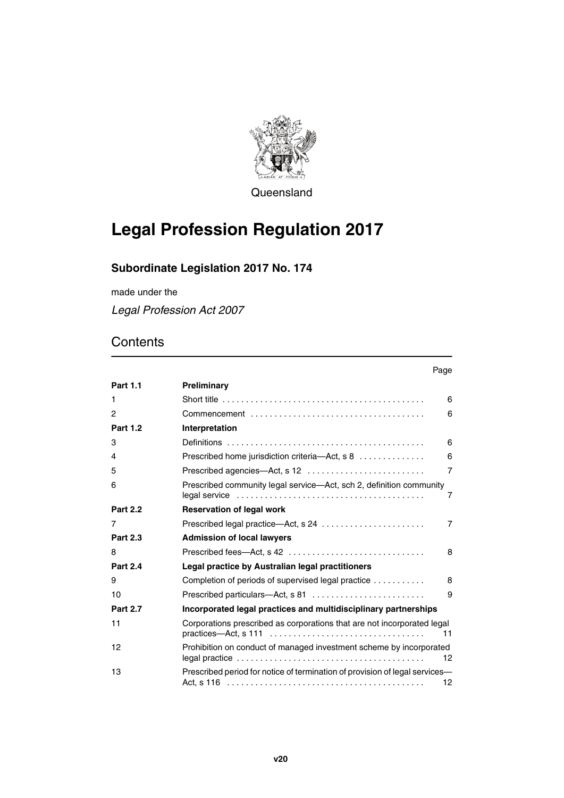

Queensland

# **Legal Profession Regulation 2017**

# **Subordinate Legislation 2017 No. 174**

made under the

*Legal Profession Act 2007*

|                 | Page                                                                                                                                                                             |
|-----------------|----------------------------------------------------------------------------------------------------------------------------------------------------------------------------------|
| <b>Part 1.1</b> | Preliminary                                                                                                                                                                      |
| 1               | Short title $\ldots \ldots \ldots \ldots \ldots \ldots \ldots \ldots \ldots \ldots \ldots \ldots \ldots$<br>6                                                                    |
| 2               | 6                                                                                                                                                                                |
| <b>Part 1.2</b> | Interpretation                                                                                                                                                                   |
| 3               | 6                                                                                                                                                                                |
| 4               | 6<br>Prescribed home jurisdiction criteria-Act, s 8                                                                                                                              |
| 5               | Prescribed agencies-Act, s 12<br>$\overline{7}$                                                                                                                                  |
| 6               | Prescribed community legal service-Act, sch 2, definition community<br>7                                                                                                         |
| <b>Part 2.2</b> | <b>Reservation of legal work</b>                                                                                                                                                 |
| 7               | Prescribed legal practice-Act, s 24<br>$\overline{7}$                                                                                                                            |
| <b>Part 2.3</b> | <b>Admission of local lawyers</b>                                                                                                                                                |
| 8               | Prescribed fees—Act, s 42<br>8                                                                                                                                                   |
| <b>Part 2.4</b> | Legal practice by Australian legal practitioners                                                                                                                                 |
| 9               | Completion of periods of supervised legal practice<br>8                                                                                                                          |
| 10              | 9                                                                                                                                                                                |
| <b>Part 2.7</b> | Incorporated legal practices and multidisciplinary partnerships                                                                                                                  |
| 11              | Corporations prescribed as corporations that are not incorporated legal<br>$practices$ —Act, s 111 $\ldots \ldots \ldots \ldots \ldots \ldots \ldots \ldots \ldots \ldots$<br>11 |
| 12              | Prohibition on conduct of managed investment scheme by incorporated<br>12                                                                                                        |
| 13              | Prescribed period for notice of termination of provision of legal services-<br>12                                                                                                |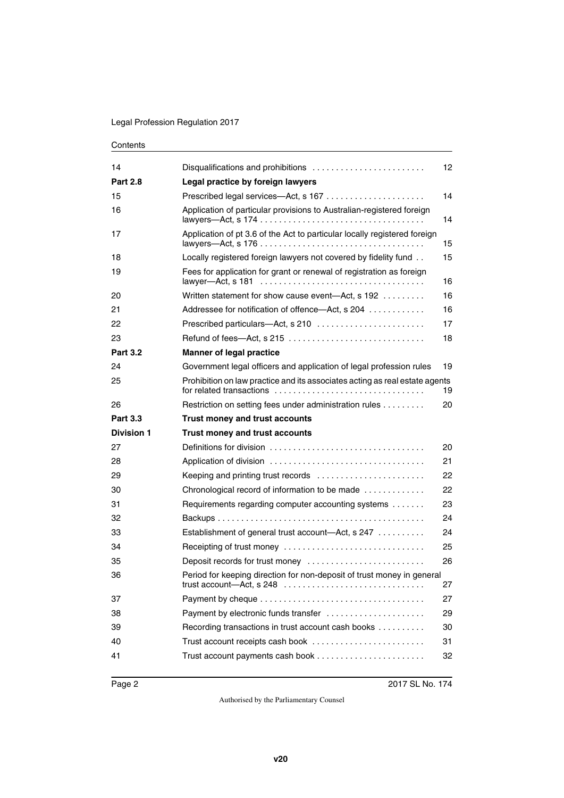| 14<br><b>Part 2.8</b><br>Legal practice by foreign lawyers<br>15<br>Application of particular provisions to Australian-registered foreign<br>16<br>Application of pt 3.6 of the Act to particular locally registered foreign<br>17<br>Locally registered foreign lawyers not covered by fidelity fund<br>18<br>Fees for application for grant or renewal of registration as foreign<br>19<br>lawver-Act. s 181<br>Written statement for show cause event-Act, s 192<br>20<br>21<br>Addressee for notification of offence—Act, s 204<br>22<br>23<br><b>Part 3.2</b><br><b>Manner of legal practice</b><br>24<br>Government legal officers and application of legal profession rules<br>25<br>for related transactions<br>Restriction on setting fees under administration rules<br>26<br><b>Part 3.3</b><br><b>Trust money and trust accounts</b><br><b>Division 1</b><br>Trust money and trust accounts<br>Definitions for division $\ldots, \ldots, \ldots, \ldots, \ldots, \ldots, \ldots, \ldots, \ldots$<br>27<br>28<br>29<br>Keeping and printing trust records<br>Chronological record of information to be made<br>30<br>Requirements regarding computer accounting systems<br>31<br>32<br>Establishment of general trust account-Act, s 247<br>33<br>Receipting of trust money<br>34<br>35<br>Deposit records for trust money<br>36<br>37<br>Payment by electronic funds transfer<br>38<br>Recording transactions in trust account cash books<br>39<br>Trust account receipts cash book<br>40<br>41 |                                                                             |    |
|-------------------------------------------------------------------------------------------------------------------------------------------------------------------------------------------------------------------------------------------------------------------------------------------------------------------------------------------------------------------------------------------------------------------------------------------------------------------------------------------------------------------------------------------------------------------------------------------------------------------------------------------------------------------------------------------------------------------------------------------------------------------------------------------------------------------------------------------------------------------------------------------------------------------------------------------------------------------------------------------------------------------------------------------------------------------------------------------------------------------------------------------------------------------------------------------------------------------------------------------------------------------------------------------------------------------------------------------------------------------------------------------------------------------------------------------------------------------------------------------------------------|-----------------------------------------------------------------------------|----|
|                                                                                                                                                                                                                                                                                                                                                                                                                                                                                                                                                                                                                                                                                                                                                                                                                                                                                                                                                                                                                                                                                                                                                                                                                                                                                                                                                                                                                                                                                                             |                                                                             | 12 |
|                                                                                                                                                                                                                                                                                                                                                                                                                                                                                                                                                                                                                                                                                                                                                                                                                                                                                                                                                                                                                                                                                                                                                                                                                                                                                                                                                                                                                                                                                                             |                                                                             |    |
|                                                                                                                                                                                                                                                                                                                                                                                                                                                                                                                                                                                                                                                                                                                                                                                                                                                                                                                                                                                                                                                                                                                                                                                                                                                                                                                                                                                                                                                                                                             |                                                                             | 14 |
|                                                                                                                                                                                                                                                                                                                                                                                                                                                                                                                                                                                                                                                                                                                                                                                                                                                                                                                                                                                                                                                                                                                                                                                                                                                                                                                                                                                                                                                                                                             |                                                                             | 14 |
|                                                                                                                                                                                                                                                                                                                                                                                                                                                                                                                                                                                                                                                                                                                                                                                                                                                                                                                                                                                                                                                                                                                                                                                                                                                                                                                                                                                                                                                                                                             |                                                                             | 15 |
|                                                                                                                                                                                                                                                                                                                                                                                                                                                                                                                                                                                                                                                                                                                                                                                                                                                                                                                                                                                                                                                                                                                                                                                                                                                                                                                                                                                                                                                                                                             |                                                                             | 15 |
|                                                                                                                                                                                                                                                                                                                                                                                                                                                                                                                                                                                                                                                                                                                                                                                                                                                                                                                                                                                                                                                                                                                                                                                                                                                                                                                                                                                                                                                                                                             |                                                                             | 16 |
|                                                                                                                                                                                                                                                                                                                                                                                                                                                                                                                                                                                                                                                                                                                                                                                                                                                                                                                                                                                                                                                                                                                                                                                                                                                                                                                                                                                                                                                                                                             |                                                                             | 16 |
|                                                                                                                                                                                                                                                                                                                                                                                                                                                                                                                                                                                                                                                                                                                                                                                                                                                                                                                                                                                                                                                                                                                                                                                                                                                                                                                                                                                                                                                                                                             |                                                                             | 16 |
|                                                                                                                                                                                                                                                                                                                                                                                                                                                                                                                                                                                                                                                                                                                                                                                                                                                                                                                                                                                                                                                                                                                                                                                                                                                                                                                                                                                                                                                                                                             |                                                                             | 17 |
|                                                                                                                                                                                                                                                                                                                                                                                                                                                                                                                                                                                                                                                                                                                                                                                                                                                                                                                                                                                                                                                                                                                                                                                                                                                                                                                                                                                                                                                                                                             |                                                                             | 18 |
|                                                                                                                                                                                                                                                                                                                                                                                                                                                                                                                                                                                                                                                                                                                                                                                                                                                                                                                                                                                                                                                                                                                                                                                                                                                                                                                                                                                                                                                                                                             |                                                                             |    |
|                                                                                                                                                                                                                                                                                                                                                                                                                                                                                                                                                                                                                                                                                                                                                                                                                                                                                                                                                                                                                                                                                                                                                                                                                                                                                                                                                                                                                                                                                                             |                                                                             | 19 |
|                                                                                                                                                                                                                                                                                                                                                                                                                                                                                                                                                                                                                                                                                                                                                                                                                                                                                                                                                                                                                                                                                                                                                                                                                                                                                                                                                                                                                                                                                                             | Prohibition on law practice and its associates acting as real estate agents | 19 |
|                                                                                                                                                                                                                                                                                                                                                                                                                                                                                                                                                                                                                                                                                                                                                                                                                                                                                                                                                                                                                                                                                                                                                                                                                                                                                                                                                                                                                                                                                                             |                                                                             | 20 |
|                                                                                                                                                                                                                                                                                                                                                                                                                                                                                                                                                                                                                                                                                                                                                                                                                                                                                                                                                                                                                                                                                                                                                                                                                                                                                                                                                                                                                                                                                                             |                                                                             |    |
|                                                                                                                                                                                                                                                                                                                                                                                                                                                                                                                                                                                                                                                                                                                                                                                                                                                                                                                                                                                                                                                                                                                                                                                                                                                                                                                                                                                                                                                                                                             |                                                                             |    |
|                                                                                                                                                                                                                                                                                                                                                                                                                                                                                                                                                                                                                                                                                                                                                                                                                                                                                                                                                                                                                                                                                                                                                                                                                                                                                                                                                                                                                                                                                                             |                                                                             | 20 |
|                                                                                                                                                                                                                                                                                                                                                                                                                                                                                                                                                                                                                                                                                                                                                                                                                                                                                                                                                                                                                                                                                                                                                                                                                                                                                                                                                                                                                                                                                                             |                                                                             | 21 |
|                                                                                                                                                                                                                                                                                                                                                                                                                                                                                                                                                                                                                                                                                                                                                                                                                                                                                                                                                                                                                                                                                                                                                                                                                                                                                                                                                                                                                                                                                                             |                                                                             | 22 |
|                                                                                                                                                                                                                                                                                                                                                                                                                                                                                                                                                                                                                                                                                                                                                                                                                                                                                                                                                                                                                                                                                                                                                                                                                                                                                                                                                                                                                                                                                                             |                                                                             | 22 |
|                                                                                                                                                                                                                                                                                                                                                                                                                                                                                                                                                                                                                                                                                                                                                                                                                                                                                                                                                                                                                                                                                                                                                                                                                                                                                                                                                                                                                                                                                                             |                                                                             |    |
|                                                                                                                                                                                                                                                                                                                                                                                                                                                                                                                                                                                                                                                                                                                                                                                                                                                                                                                                                                                                                                                                                                                                                                                                                                                                                                                                                                                                                                                                                                             |                                                                             | 23 |
|                                                                                                                                                                                                                                                                                                                                                                                                                                                                                                                                                                                                                                                                                                                                                                                                                                                                                                                                                                                                                                                                                                                                                                                                                                                                                                                                                                                                                                                                                                             |                                                                             | 24 |
|                                                                                                                                                                                                                                                                                                                                                                                                                                                                                                                                                                                                                                                                                                                                                                                                                                                                                                                                                                                                                                                                                                                                                                                                                                                                                                                                                                                                                                                                                                             |                                                                             | 24 |
|                                                                                                                                                                                                                                                                                                                                                                                                                                                                                                                                                                                                                                                                                                                                                                                                                                                                                                                                                                                                                                                                                                                                                                                                                                                                                                                                                                                                                                                                                                             |                                                                             | 25 |
|                                                                                                                                                                                                                                                                                                                                                                                                                                                                                                                                                                                                                                                                                                                                                                                                                                                                                                                                                                                                                                                                                                                                                                                                                                                                                                                                                                                                                                                                                                             |                                                                             | 26 |
|                                                                                                                                                                                                                                                                                                                                                                                                                                                                                                                                                                                                                                                                                                                                                                                                                                                                                                                                                                                                                                                                                                                                                                                                                                                                                                                                                                                                                                                                                                             | Period for keeping direction for non-deposit of trust money in general      | 27 |
|                                                                                                                                                                                                                                                                                                                                                                                                                                                                                                                                                                                                                                                                                                                                                                                                                                                                                                                                                                                                                                                                                                                                                                                                                                                                                                                                                                                                                                                                                                             |                                                                             | 27 |
|                                                                                                                                                                                                                                                                                                                                                                                                                                                                                                                                                                                                                                                                                                                                                                                                                                                                                                                                                                                                                                                                                                                                                                                                                                                                                                                                                                                                                                                                                                             |                                                                             | 29 |
|                                                                                                                                                                                                                                                                                                                                                                                                                                                                                                                                                                                                                                                                                                                                                                                                                                                                                                                                                                                                                                                                                                                                                                                                                                                                                                                                                                                                                                                                                                             |                                                                             | 30 |
|                                                                                                                                                                                                                                                                                                                                                                                                                                                                                                                                                                                                                                                                                                                                                                                                                                                                                                                                                                                                                                                                                                                                                                                                                                                                                                                                                                                                                                                                                                             |                                                                             | 31 |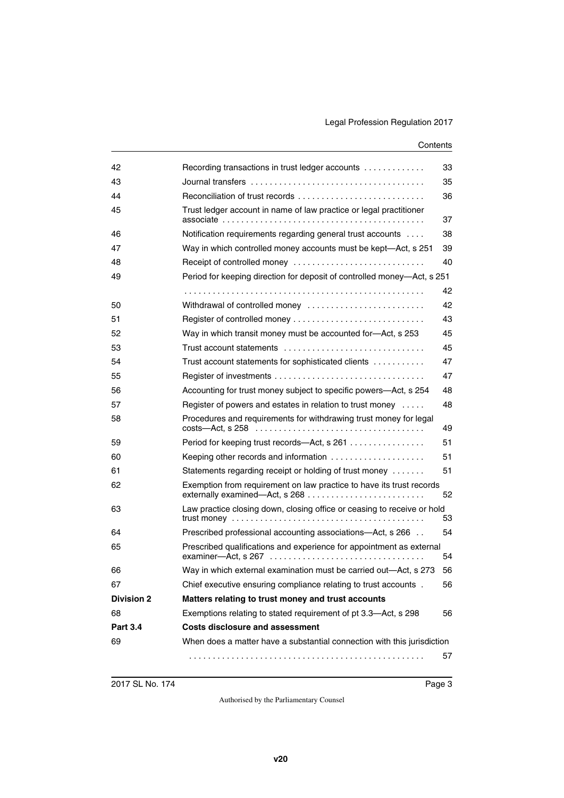| 42                | Recording transactions in trust ledger accounts                         | 33 |
|-------------------|-------------------------------------------------------------------------|----|
| 43                |                                                                         | 35 |
| 44                | Reconciliation of trust records                                         | 36 |
| 45                | Trust ledger account in name of law practice or legal practitioner      | 37 |
| 46                | Notification requirements regarding general trust accounts              | 38 |
| 47                | Way in which controlled money accounts must be kept-Act, s 251          | 39 |
| 48                | Receipt of controlled money                                             | 40 |
| 49                | Period for keeping direction for deposit of controlled money-Act, s 251 |    |
|                   |                                                                         | 42 |
| 50                | Withdrawal of controlled money                                          | 42 |
| 51                |                                                                         | 43 |
| 52                | Way in which transit money must be accounted for-Act, s 253             | 45 |
| 53                | Trust account statements                                                | 45 |
| 54                | Trust account statements for sophisticated clients                      | 47 |
| 55                |                                                                         | 47 |
| 56                | Accounting for trust money subject to specific powers—Act, s 254        | 48 |
| 57                | Register of powers and estates in relation to trust money               | 48 |
| 58                | Procedures and requirements for withdrawing trust money for legal       | 49 |
| 59                | Period for keeping trust records-Act, s 261                             | 51 |
| 60                | Keeping other records and information                                   | 51 |
| 61                | Statements regarding receipt or holding of trust money                  | 51 |
| 62                | Exemption from requirement on law practice to have its trust records    | 52 |
| 63                | Law practice closing down, closing office or ceasing to receive or hold | 53 |
| 64                | Prescribed professional accounting associations-Act, s 266              | 54 |
| 65                | Prescribed qualifications and experience for appointment as external    | 54 |
| 66                | Way in which external examination must be carried out—Act, s 273        | 56 |
| 67                | Chief executive ensuring compliance relating to trust accounts.         | 56 |
| <b>Division 2</b> | Matters relating to trust money and trust accounts                      |    |
| 68                | Exemptions relating to stated requirement of pt 3.3-Act, s 298          | 56 |
| <b>Part 3.4</b>   | <b>Costs disclosure and assessment</b>                                  |    |
| 69                | When does a matter have a substantial connection with this jurisdiction |    |
|                   |                                                                         | 57 |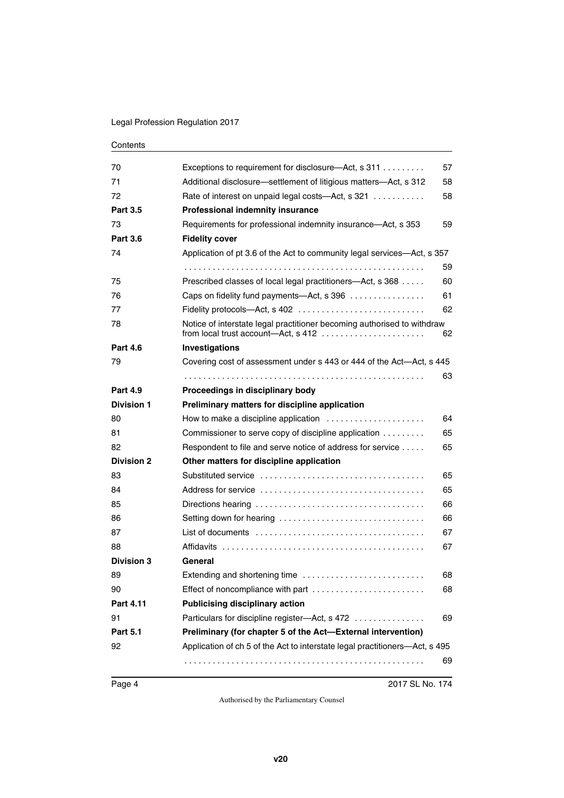| 70                | Exceptions to requirement for disclosure—Act, s 311                         | 57 |
|-------------------|-----------------------------------------------------------------------------|----|
| 71                | Additional disclosure—settlement of litigious matters—Act, s 312            | 58 |
| 72                | Rate of interest on unpaid legal costs—Act, s 321                           | 58 |
| <b>Part 3.5</b>   | <b>Professional indemnity insurance</b>                                     |    |
| 73                | Requirements for professional indemnity insurance—Act, s 353                | 59 |
| <b>Part 3.6</b>   | <b>Fidelity cover</b>                                                       |    |
| 74                | Application of pt 3.6 of the Act to community legal services-Act, s 357     |    |
|                   |                                                                             | 59 |
| 75                | Prescribed classes of local legal practitioners-Act, s 368                  | 60 |
| 76                | Caps on fidelity fund payments—Act, s 396                                   | 61 |
| 77                |                                                                             | 62 |
| 78                | Notice of interstate legal practitioner becoming authorised to withdraw     | 62 |
| <b>Part 4.6</b>   | Investigations                                                              |    |
| 79                | Covering cost of assessment under s 443 or 444 of the Act—Act, s 445        |    |
|                   |                                                                             | 63 |
| <b>Part 4.9</b>   | Proceedings in disciplinary body                                            |    |
| <b>Division 1</b> | Preliminary matters for discipline application                              |    |
| 80                | How to make a discipline application                                        | 64 |
| 81                | Commissioner to serve copy of discipline application                        | 65 |
| 82                | Respondent to file and serve notice of address for service                  | 65 |
| <b>Division 2</b> | Other matters for discipline application                                    |    |
| 83                |                                                                             | 65 |
| 84                |                                                                             | 65 |
| 85                |                                                                             | 66 |
| 86                | Setting down for hearing                                                    | 66 |
| 87                |                                                                             | 67 |
| 88                |                                                                             | 67 |
| <b>Division 3</b> | General                                                                     |    |
| 89                |                                                                             | 68 |
| 90                | Effect of noncompliance with part                                           | 68 |
| <b>Part 4.11</b>  | <b>Publicising disciplinary action</b>                                      |    |
| 91                | Particulars for discipline register-Act, s 472                              | 69 |
| <b>Part 5.1</b>   | Preliminary (for chapter 5 of the Act-External intervention)                |    |
| 92                | Application of ch 5 of the Act to interstate legal practitioners-Act, s 495 |    |
|                   |                                                                             | 69 |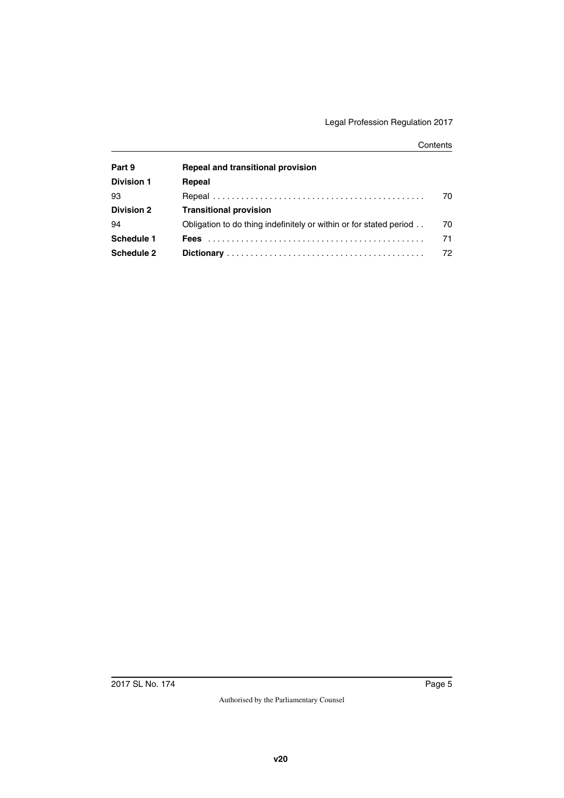| Part 9            | Repeal and transitional provision                                  |    |
|-------------------|--------------------------------------------------------------------|----|
| <b>Division 1</b> | Repeal                                                             |    |
| 93                |                                                                    | 70 |
| <b>Division 2</b> | <b>Transitional provision</b>                                      |    |
| 94                | Obligation to do thing indefinitely or within or for stated period | 70 |
| Schedule 1        | <b>Fees</b>                                                        | 71 |
| Schedule 2        |                                                                    | 72 |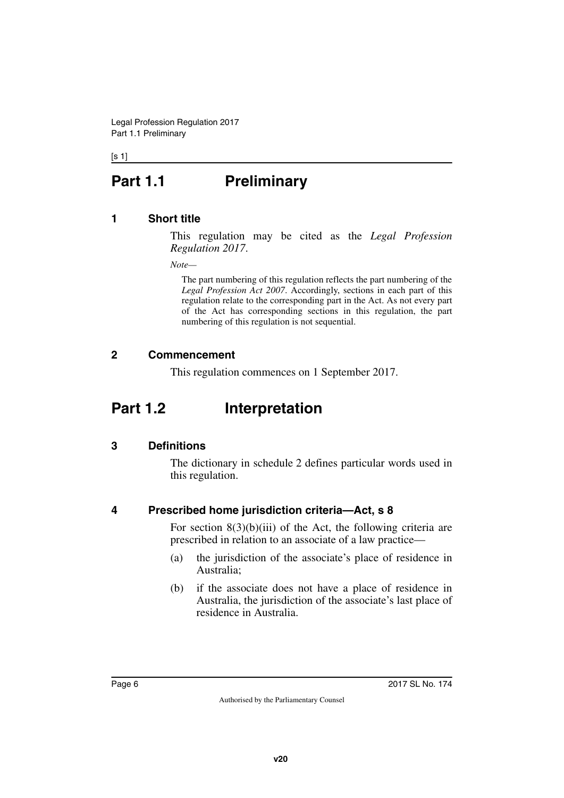#### <span id="page-5-0"></span> $[s 1]$

# **Part 1.1** Preliminary

## <span id="page-5-2"></span>**1 Short title**

<span id="page-5-3"></span><span id="page-5-1"></span>This regulation may be cited as the *Legal Profession Regulation 2017*.

*Note—*

The part numbering of this regulation reflects the part numbering of the *Legal Profession Act 2007*. Accordingly, sections in each part of this regulation relate to the corresponding part in the Act. As not every part of the Act has corresponding sections in this regulation, the part numbering of this regulation is not sequential.

# <span id="page-5-4"></span>**2 Commencement**

<span id="page-5-7"></span><span id="page-5-5"></span>This regulation commences on 1 September 2017.

# <span id="page-5-6"></span>**Part 1.2 Interpretation**

# <span id="page-5-8"></span>**3 Definitions**

<span id="page-5-9"></span>The dictionary in schedule 2 defines particular words used in this regulation.

# <span id="page-5-10"></span>**4 Prescribed home jurisdiction criteria—Act, s 8**

<span id="page-5-11"></span>For section  $8(3)(b)(iii)$  of the Act, the following criteria are prescribed in relation to an associate of a law practice—

- (a) the jurisdiction of the associate's place of residence in Australia;
- (b) if the associate does not have a place of residence in Australia, the jurisdiction of the associate's last place of residence in Australia.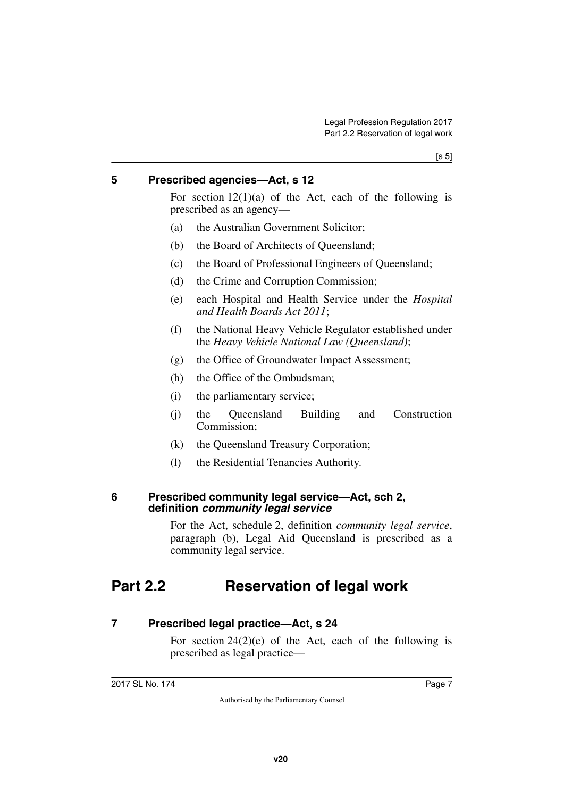## <span id="page-6-0"></span>**5 Prescribed agencies—Act, s 12**

<span id="page-6-1"></span>For section  $12(1)(a)$  of the Act, each of the following is prescribed as an agency—

- (a) the Australian Government Solicitor;
- (b) the Board of Architects of Queensland;
- (c) the Board of Professional Engineers of Queensland;
- (d) the Crime and Corruption Commission;
- (e) each Hospital and Health Service under the *Hospital and Health Boards Act 2011*;
- (f) the National Heavy Vehicle Regulator established under the *Heavy Vehicle National Law (Queensland)*;
- (g) the Office of Groundwater Impact Assessment;
- (h) the Office of the Ombudsman;
- (i) the parliamentary service;
- (j) the Queensland Building and Construction Commission;
- (k) the Queensland Treasury Corporation;
- <span id="page-6-3"></span>(l) the Residential Tenancies Authority.

#### <span id="page-6-2"></span>**6 Prescribed community legal service—Act, sch 2, definition** *community legal service*

<span id="page-6-5"></span>For the Act, schedule 2, definition *community legal service*, paragraph (b), Legal Aid Queensland is prescribed as a community legal service.

# <span id="page-6-4"></span>**Part 2.2 Reservation of legal work**

## <span id="page-6-6"></span>**7 Prescribed legal practice—Act, s 24**

<span id="page-6-7"></span>For section  $24(2)(e)$  of the Act, each of the following is prescribed as legal practice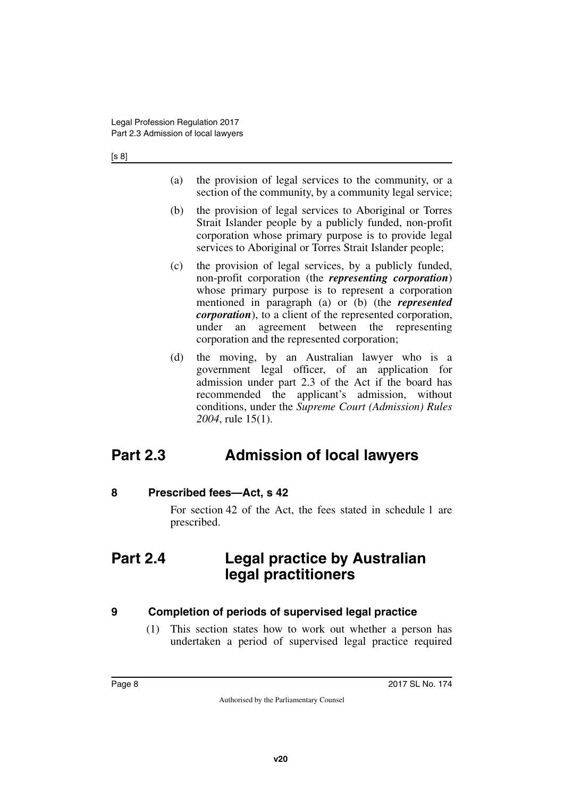[s 8]

- (a) the provision of legal services to the community, or a section of the community, by a community legal service;
- (b) the provision of legal services to Aboriginal or Torres Strait Islander people by a publicly funded, non-profit corporation whose primary purpose is to provide legal services to Aboriginal or Torres Strait Islander people;
- (c) the provision of legal services, by a publicly funded, non-profit corporation (the *representing corporation*) whose primary purpose is to represent a corporation mentioned in paragraph (a) or (b) (the *represented corporation*), to a client of the represented corporation, under an agreement between the representing corporation and the represented corporation;
- (d) the moving, by an Australian lawyer who is a government legal officer, of an application for admission under part 2.3 of the Act if the board has recommended the applicant's admission, without conditions, under the *Supreme Court (Admission) Rules 2004*, rule 15(1).

# <span id="page-7-0"></span>**Part 2.3 Admission of local lawyers**

# <span id="page-7-2"></span>**8 Prescribed fees—Act, s 42**

<span id="page-7-5"></span><span id="page-7-3"></span><span id="page-7-1"></span>For section 42 of the Act, the fees stated in schedule 1 are prescribed.

# <span id="page-7-4"></span>**Part 2.4 Legal practice by Australian legal practitioners**

# <span id="page-7-6"></span>**9 Completion of periods of supervised legal practice**

<span id="page-7-7"></span>(1) This section states how to work out whether a person has undertaken a period of supervised legal practice required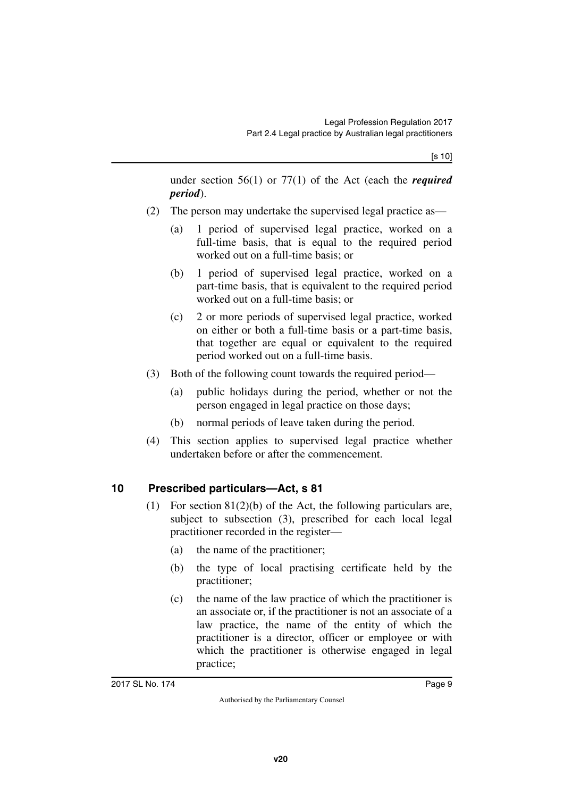under section 56(1) or 77(1) of the Act (each the *required period*).

- (2) The person may undertake the supervised legal practice as—
	- (a) 1 period of supervised legal practice, worked on a full-time basis, that is equal to the required period worked out on a full-time basis; or
	- (b) 1 period of supervised legal practice, worked on a part-time basis, that is equivalent to the required period worked out on a full-time basis; or
	- (c) 2 or more periods of supervised legal practice, worked on either or both a full-time basis or a part-time basis, that together are equal or equivalent to the required period worked out on a full-time basis.
- (3) Both of the following count towards the required period—
	- (a) public holidays during the period, whether or not the person engaged in legal practice on those days;
	- (b) normal periods of leave taken during the period.
- (4) This section applies to supervised legal practice whether undertaken before or after the commencement.

# <span id="page-8-0"></span>**10 Prescribed particulars—Act, s 81**

- <span id="page-8-1"></span>(1) For section 81(2)(b) of the Act, the following particulars are, subject to subsection (3), prescribed for each local legal practitioner recorded in the register—
	- (a) the name of the practitioner;
	- (b) the type of local practising certificate held by the practitioner;
	- (c) the name of the law practice of which the practitioner is an associate or, if the practitioner is not an associate of a law practice, the name of the entity of which the practitioner is a director, officer or employee or with which the practitioner is otherwise engaged in legal practice;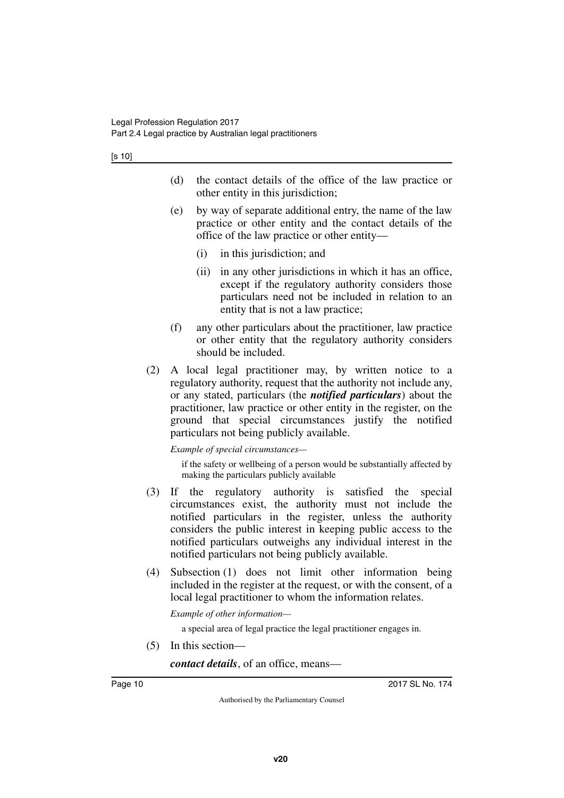[s 10]

- (d) the contact details of the office of the law practice or other entity in this jurisdiction;
- (e) by way of separate additional entry, the name of the law practice or other entity and the contact details of the office of the law practice or other entity—
	- (i) in this jurisdiction; and
	- (ii) in any other jurisdictions in which it has an office, except if the regulatory authority considers those particulars need not be included in relation to an entity that is not a law practice;
- (f) any other particulars about the practitioner, law practice or other entity that the regulatory authority considers should be included.
- (2) A local legal practitioner may, by written notice to a regulatory authority, request that the authority not include any, or any stated, particulars (the *notified particulars*) about the practitioner, law practice or other entity in the register, on the ground that special circumstances justify the notified particulars not being publicly available.

*Example of special circumstances—*

if the safety or wellbeing of a person would be substantially affected by making the particulars publicly available

- (3) If the regulatory authority is satisfied the special circumstances exist, the authority must not include the notified particulars in the register, unless the authority considers the public interest in keeping public access to the notified particulars outweighs any individual interest in the notified particulars not being publicly available.
- (4) Subsection (1) does not limit other information being included in the register at the request, or with the consent, of a local legal practitioner to whom the information relates.

*Example of other information—*

a special area of legal practice the legal practitioner engages in.

(5) In this section—

*contact details*, of an office, means—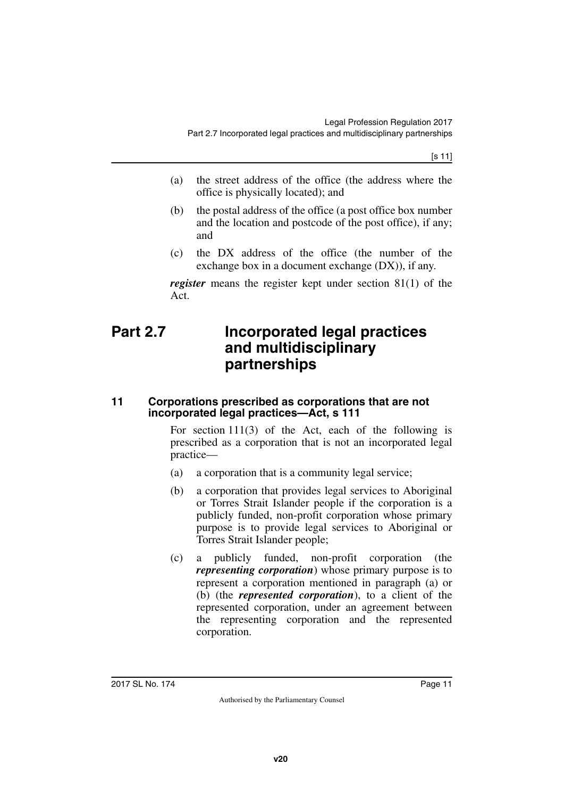- (a) the street address of the office (the address where the office is physically located); and
- (b) the postal address of the office (a post office box number and the location and postcode of the post office), if any; and
- (c) the DX address of the office (the number of the exchange box in a document exchange (DX)), if any.

<span id="page-10-1"></span>*register* means the register kept under section 81(1) of the Act.

# <span id="page-10-0"></span>**Part 2.7 Incorporated legal practices and multidisciplinary partnerships**

### <span id="page-10-3"></span><span id="page-10-2"></span>**11 Corporations prescribed as corporations that are not incorporated legal practices—Act, s 111**

For section 111(3) of the Act, each of the following is prescribed as a corporation that is not an incorporated legal practice—

- (a) a corporation that is a community legal service;
- (b) a corporation that provides legal services to Aboriginal or Torres Strait Islander people if the corporation is a publicly funded, non-profit corporation whose primary purpose is to provide legal services to Aboriginal or Torres Strait Islander people;
- (c) a publicly funded, non-profit corporation (the *representing corporation*) whose primary purpose is to represent a corporation mentioned in paragraph (a) or (b) (the *represented corporation*), to a client of the represented corporation, under an agreement between the representing corporation and the represented corporation.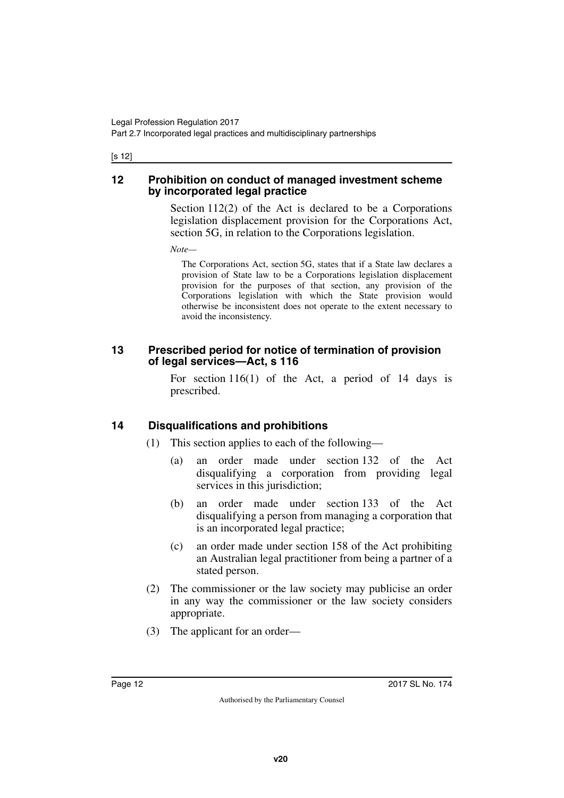[s 12]

### <span id="page-11-1"></span><span id="page-11-0"></span>**12 Prohibition on conduct of managed investment scheme by incorporated legal practice**

Section 112(2) of the Act is declared to be a Corporations legislation displacement provision for the Corporations Act, section 5G, in relation to the Corporations legislation.

*Note—*

The Corporations Act, section 5G, states that if a State law declares a provision of State law to be a Corporations legislation displacement provision for the purposes of that section, any provision of the Corporations legislation with which the State provision would otherwise be inconsistent does not operate to the extent necessary to avoid the inconsistency.

## <span id="page-11-3"></span><span id="page-11-2"></span>**13 Prescribed period for notice of termination of provision of legal services—Act, s 116**

For section 116(1) of the Act, a period of 14 days is prescribed.

# <span id="page-11-4"></span>**14 Disqualifications and prohibitions**

- <span id="page-11-5"></span>(1) This section applies to each of the following—
	- (a) an order made under section 132 of the Act disqualifying a corporation from providing legal services in this jurisdiction;
	- (b) an order made under section 133 of the Act disqualifying a person from managing a corporation that is an incorporated legal practice;
	- (c) an order made under section 158 of the Act prohibiting an Australian legal practitioner from being a partner of a stated person.
- (2) The commissioner or the law society may publicise an order in any way the commissioner or the law society considers appropriate.
- (3) The applicant for an order—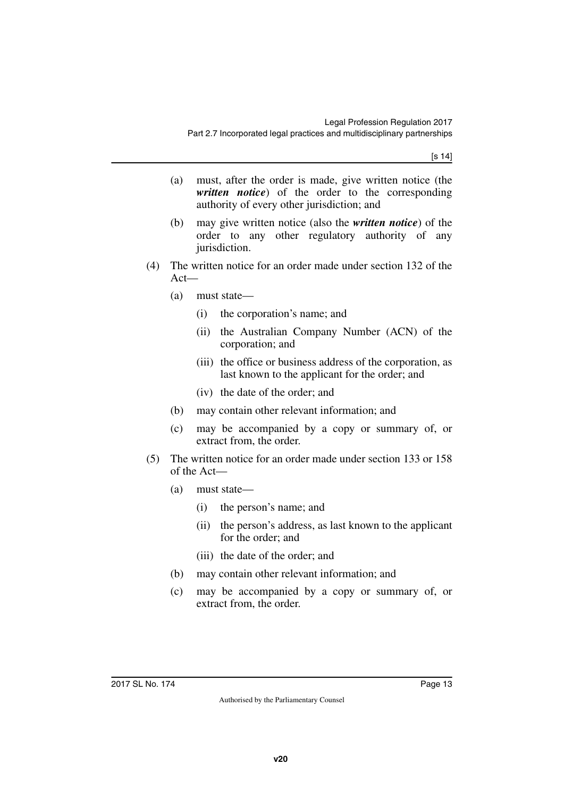[s 14]

- (a) must, after the order is made, give written notice (the *written notice*) of the order to the corresponding authority of every other jurisdiction; and
- (b) may give written notice (also the *written notice*) of the order to any other regulatory authority of any jurisdiction.
- (4) The written notice for an order made under section 132 of the Act—
	- (a) must state—
		- (i) the corporation's name; and
		- (ii) the Australian Company Number (ACN) of the corporation; and
		- (iii) the office or business address of the corporation, as last known to the applicant for the order; and
		- (iv) the date of the order; and
	- (b) may contain other relevant information; and
	- (c) may be accompanied by a copy or summary of, or extract from, the order.
- (5) The written notice for an order made under section 133 or 158 of the Act—
	- (a) must state—
		- (i) the person's name; and
		- (ii) the person's address, as last known to the applicant for the order; and
		- (iii) the date of the order; and
	- (b) may contain other relevant information; and
	- (c) may be accompanied by a copy or summary of, or extract from, the order.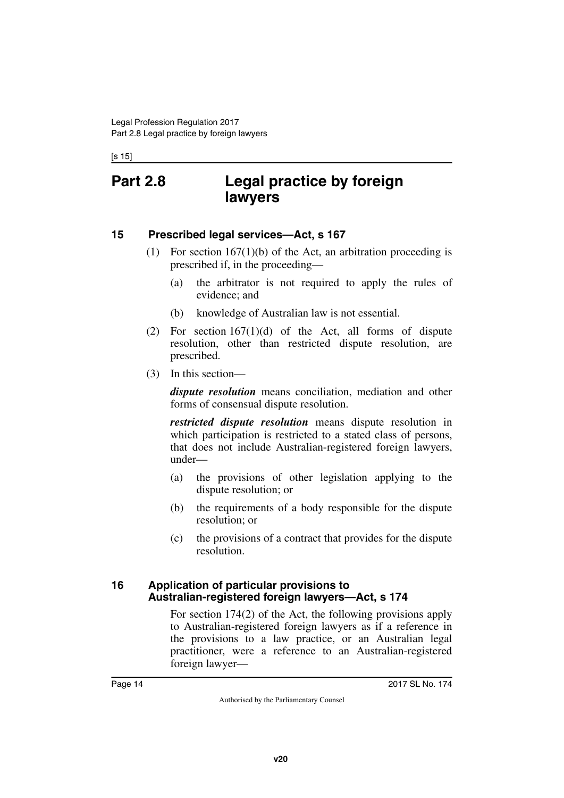<span id="page-13-1"></span><span id="page-13-0"></span>[s 15]

# **Part 2.8 Legal practice by foreign lawyers**

### <span id="page-13-2"></span>**15 Prescribed legal services—Act, s 167**

- <span id="page-13-3"></span>(1) For section  $167(1)(b)$  of the Act, an arbitration proceeding is prescribed if, in the proceeding—
	- (a) the arbitrator is not required to apply the rules of evidence; and
	- (b) knowledge of Australian law is not essential.
- (2) For section  $167(1)(d)$  of the Act, all forms of dispute resolution, other than restricted dispute resolution, are prescribed.
- (3) In this section—

*dispute resolution* means conciliation, mediation and other forms of consensual dispute resolution.

*restricted dispute resolution* means dispute resolution in which participation is restricted to a stated class of persons, that does not include Australian-registered foreign lawyers, under—

- (a) the provisions of other legislation applying to the dispute resolution; or
- (b) the requirements of a body responsible for the dispute resolution; or
- (c) the provisions of a contract that provides for the dispute resolution.

#### <span id="page-13-5"></span><span id="page-13-4"></span>**16 Application of particular provisions to Australian-registered foreign lawyers—Act, s 174**

For section 174(2) of the Act, the following provisions apply to Australian-registered foreign lawyers as if a reference in the provisions to a law practice, or an Australian legal practitioner, were a reference to an Australian-registered foreign lawyer—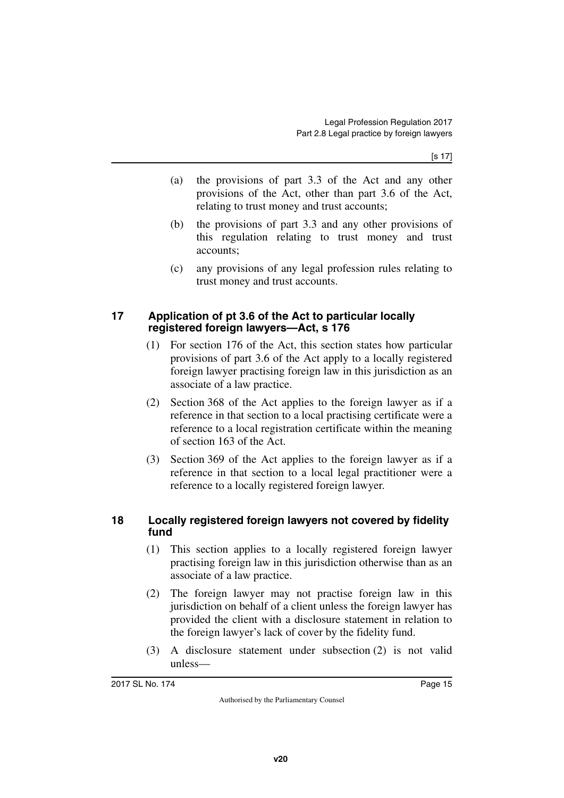[s 17]

- (a) the provisions of part 3.3 of the Act and any other provisions of the Act, other than part 3.6 of the Act, relating to trust money and trust accounts;
- (b) the provisions of part 3.3 and any other provisions of this regulation relating to trust money and trust accounts;
- (c) any provisions of any legal profession rules relating to trust money and trust accounts.

## <span id="page-14-1"></span><span id="page-14-0"></span>**17 Application of pt 3.6 of the Act to particular locally registered foreign lawyers—Act, s 176**

- (1) For section 176 of the Act, this section states how particular provisions of part 3.6 of the Act apply to a locally registered foreign lawyer practising foreign law in this jurisdiction as an associate of a law practice.
- (2) Section 368 of the Act applies to the foreign lawyer as if a reference in that section to a local practising certificate were a reference to a local registration certificate within the meaning of section 163 of the Act.
- (3) Section 369 of the Act applies to the foreign lawyer as if a reference in that section to a local legal practitioner were a reference to a locally registered foreign lawyer.

# <span id="page-14-3"></span><span id="page-14-2"></span>**18 Locally registered foreign lawyers not covered by fidelity fund**

- (1) This section applies to a locally registered foreign lawyer practising foreign law in this jurisdiction otherwise than as an associate of a law practice.
- (2) The foreign lawyer may not practise foreign law in this jurisdiction on behalf of a client unless the foreign lawyer has provided the client with a disclosure statement in relation to the foreign lawyer's lack of cover by the fidelity fund.
- (3) A disclosure statement under subsection (2) is not valid unless—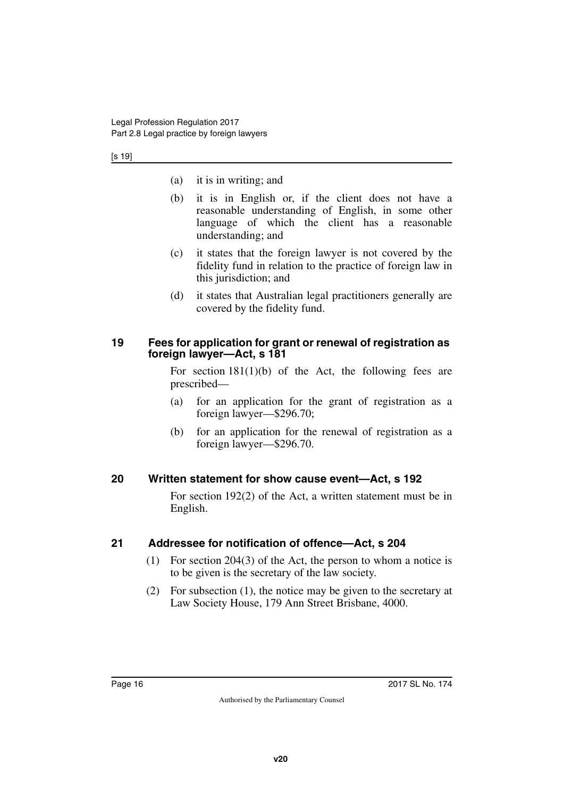#### [s 19]

- (a) it is in writing; and
- (b) it is in English or, if the client does not have a reasonable understanding of English, in some other language of which the client has a reasonable understanding; and
- (c) it states that the foreign lawyer is not covered by the fidelity fund in relation to the practice of foreign law in this jurisdiction; and
- (d) it states that Australian legal practitioners generally are covered by the fidelity fund.

### <span id="page-15-1"></span><span id="page-15-0"></span>**19 Fees for application for grant or renewal of registration as foreign lawyer—Act, s 181**

For section  $181(1)(b)$  of the Act, the following fees are prescribed—

- (a) for an application for the grant of registration as a foreign lawyer—\$296.70;
- (b) for an application for the renewal of registration as a foreign lawyer—\$296.70.

## <span id="page-15-2"></span>**20 Written statement for show cause event—Act, s 192**

<span id="page-15-3"></span>For section 192(2) of the Act, a written statement must be in English.

## <span id="page-15-4"></span>**21 Addressee for notification of offence—Act, s 204**

- <span id="page-15-5"></span>(1) For section 204(3) of the Act, the person to whom a notice is to be given is the secretary of the law society.
- (2) For subsection (1), the notice may be given to the secretary at Law Society House, 179 Ann Street Brisbane, 4000.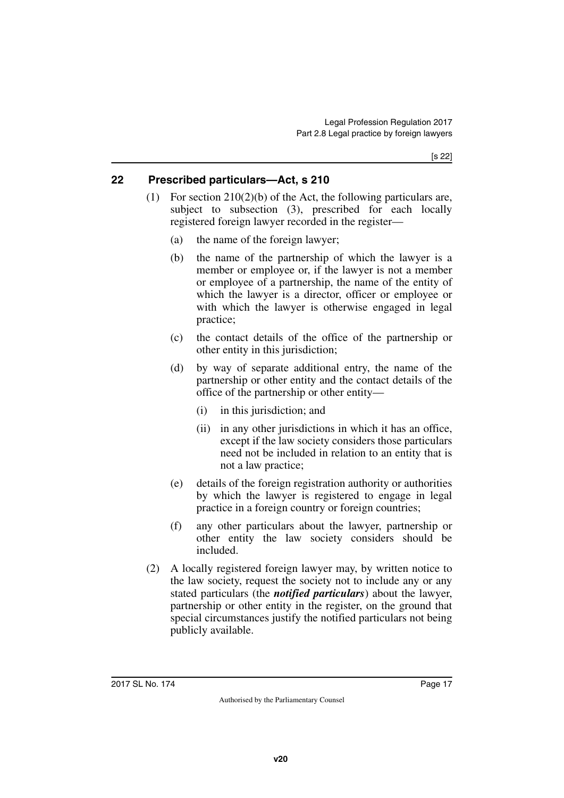# <span id="page-16-0"></span>**22 Prescribed particulars—Act, s 210**

- <span id="page-16-1"></span>(1) For section 210(2)(b) of the Act, the following particulars are, subject to subsection (3), prescribed for each locally registered foreign lawyer recorded in the register—
	- (a) the name of the foreign lawyer;
	- (b) the name of the partnership of which the lawyer is a member or employee or, if the lawyer is not a member or employee of a partnership, the name of the entity of which the lawyer is a director, officer or employee or with which the lawyer is otherwise engaged in legal practice;
	- (c) the contact details of the office of the partnership or other entity in this jurisdiction;
	- (d) by way of separate additional entry, the name of the partnership or other entity and the contact details of the office of the partnership or other entity—
		- (i) in this jurisdiction; and
		- (ii) in any other jurisdictions in which it has an office, except if the law society considers those particulars need not be included in relation to an entity that is not a law practice;
	- (e) details of the foreign registration authority or authorities by which the lawyer is registered to engage in legal practice in a foreign country or foreign countries;
	- (f) any other particulars about the lawyer, partnership or other entity the law society considers should be included.
- (2) A locally registered foreign lawyer may, by written notice to the law society, request the society not to include any or any stated particulars (the *notified particulars*) about the lawyer, partnership or other entity in the register, on the ground that special circumstances justify the notified particulars not being publicly available.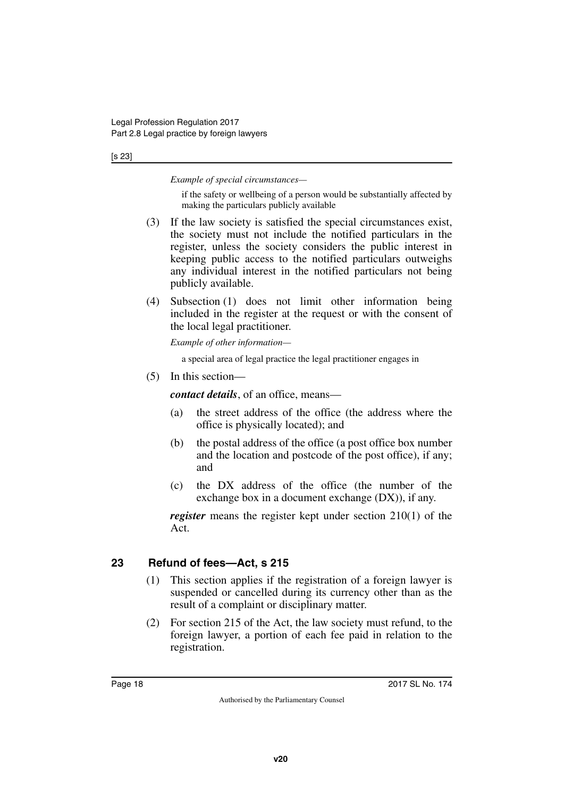#### [s 23]

*Example of special circumstances—*

if the safety or wellbeing of a person would be substantially affected by making the particulars publicly available

- (3) If the law society is satisfied the special circumstances exist, the society must not include the notified particulars in the register, unless the society considers the public interest in keeping public access to the notified particulars outweighs any individual interest in the notified particulars not being publicly available.
- (4) Subsection (1) does not limit other information being included in the register at the request or with the consent of the local legal practitioner.

*Example of other information—*

a special area of legal practice the legal practitioner engages in

(5) In this section—

*contact details*, of an office, means—

- (a) the street address of the office (the address where the office is physically located); and
- (b) the postal address of the office (a post office box number and the location and postcode of the post office), if any; and
- (c) the DX address of the office (the number of the exchange box in a document exchange (DX)), if any.

*register* means the register kept under section 210(1) of the Act.

# <span id="page-17-0"></span>**23 Refund of fees—Act, s 215**

- <span id="page-17-1"></span>(1) This section applies if the registration of a foreign lawyer is suspended or cancelled during its currency other than as the result of a complaint or disciplinary matter.
- (2) For section 215 of the Act, the law society must refund, to the foreign lawyer, a portion of each fee paid in relation to the registration.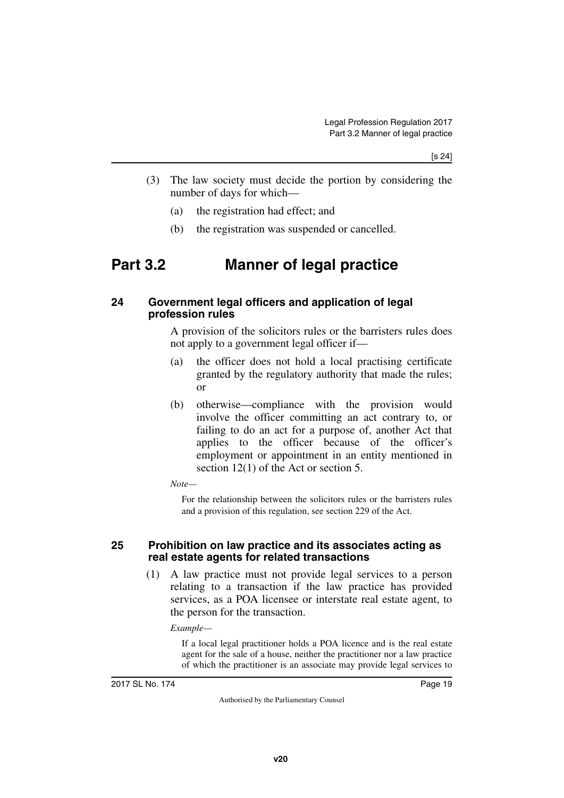- (3) The law society must decide the portion by considering the number of days for which—
	- (a) the registration had effect; and
	- (b) the registration was suspended or cancelled.

# <span id="page-18-0"></span>**Part 3.2 Manner of legal practice**

### <span id="page-18-3"></span><span id="page-18-2"></span>**24 Government legal officers and application of legal profession rules**

<span id="page-18-1"></span>A provision of the solicitors rules or the barristers rules does not apply to a government legal officer if—

- (a) the officer does not hold a local practising certificate granted by the regulatory authority that made the rules; or
- (b) otherwise—compliance with the provision would involve the officer committing an act contrary to, or failing to do an act for a purpose of, another Act that applies to the officer because of the officer's employment or appointment in an entity mentioned in section 12(1) of the Act or section 5.

*Note—*

For the relationship between the solicitors rules or the barristers rules and a provision of this regulation, see section 229 of the Act.

### <span id="page-18-5"></span><span id="page-18-4"></span>**25 Prohibition on law practice and its associates acting as real estate agents for related transactions**

(1) A law practice must not provide legal services to a person relating to a transaction if the law practice has provided services, as a POA licensee or interstate real estate agent, to the person for the transaction.

*Example—*

If a local legal practitioner holds a POA licence and is the real estate agent for the sale of a house, neither the practitioner nor a law practice of which the practitioner is an associate may provide legal services to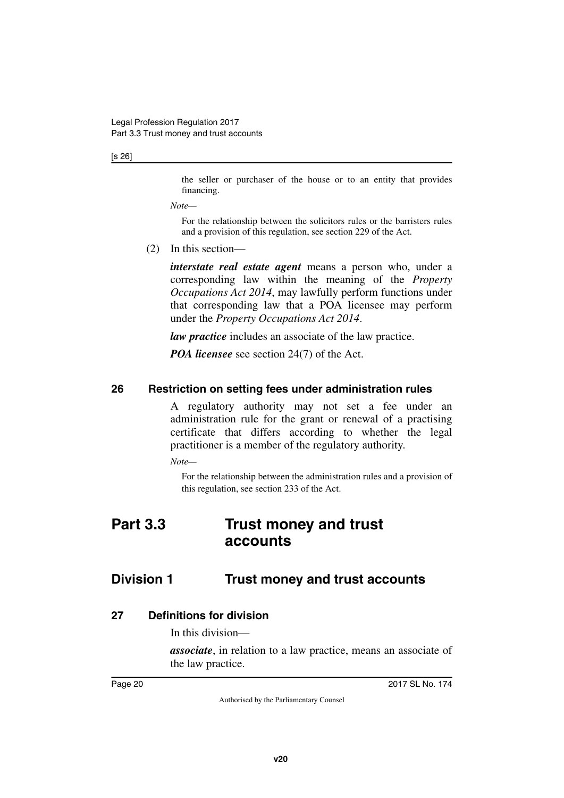#### [s 26]

the seller or purchaser of the house or to an entity that provides financing.

*Note—*

For the relationship between the solicitors rules or the barristers rules and a provision of this regulation, see section 229 of the Act.

(2) In this section—

*interstate real estate agent* means a person who, under a corresponding law within the meaning of the *Property Occupations Act 2014*, may lawfully perform functions under that corresponding law that a POA licensee may perform under the *Property Occupations Act 2014*.

*law practice* includes an associate of the law practice.

<span id="page-19-1"></span>*POA licensee* see section 24(7) of the Act.

### <span id="page-19-0"></span>**26 Restriction on setting fees under administration rules**

A regulatory authority may not set a fee under an administration rule for the grant or renewal of a practising certificate that differs according to whether the legal practitioner is a member of the regulatory authority.

*Note—*

<span id="page-19-3"></span>For the relationship between the administration rules and a provision of this regulation, see section 233 of the Act.

# <span id="page-19-2"></span>**Part 3.3 Trust money and trust accounts**

# <span id="page-19-4"></span>**Division 1 Trust money and trust accounts**

#### <span id="page-19-6"></span>**27 Definitions for division**

<span id="page-19-7"></span><span id="page-19-5"></span>In this division—

*associate*, in relation to a law practice, means an associate of the law practice.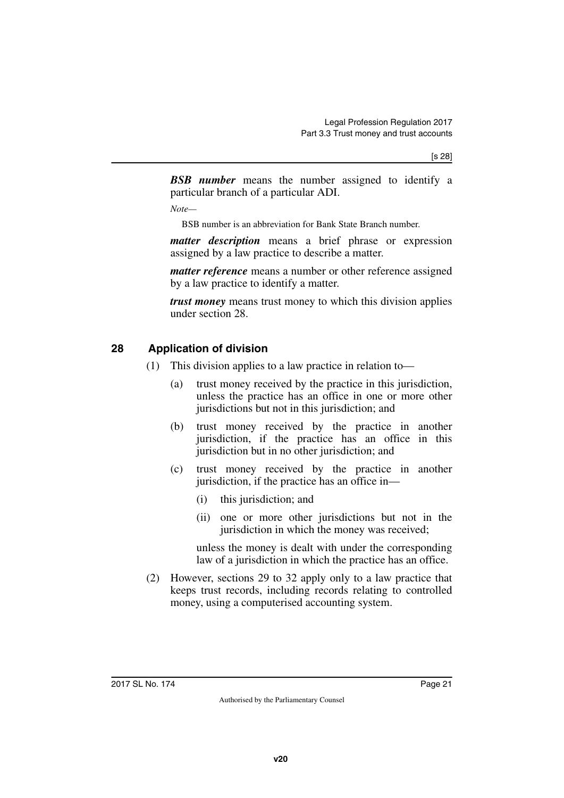*BSB number* means the number assigned to identify a particular branch of a particular ADI.

*Note—*

BSB number is an abbreviation for Bank State Branch number.

*matter description* means a brief phrase or expression assigned by a law practice to describe a matter.

*matter reference* means a number or other reference assigned by a law practice to identify a matter.

*trust money* means trust money to which this division applies under section 28.

# <span id="page-20-0"></span>**28 Application of division**

- <span id="page-20-1"></span>(1) This division applies to a law practice in relation to—
	- (a) trust money received by the practice in this jurisdiction, unless the practice has an office in one or more other jurisdictions but not in this jurisdiction; and
	- (b) trust money received by the practice in another jurisdiction, if the practice has an office in this jurisdiction but in no other jurisdiction; and
	- (c) trust money received by the practice in another jurisdiction, if the practice has an office in—
		- (i) this jurisdiction; and
		- (ii) one or more other jurisdictions but not in the jurisdiction in which the money was received;

unless the money is dealt with under the corresponding law of a jurisdiction in which the practice has an office.

(2) However, sections 29 to 32 apply only to a law practice that keeps trust records, including records relating to controlled money, using a computerised accounting system.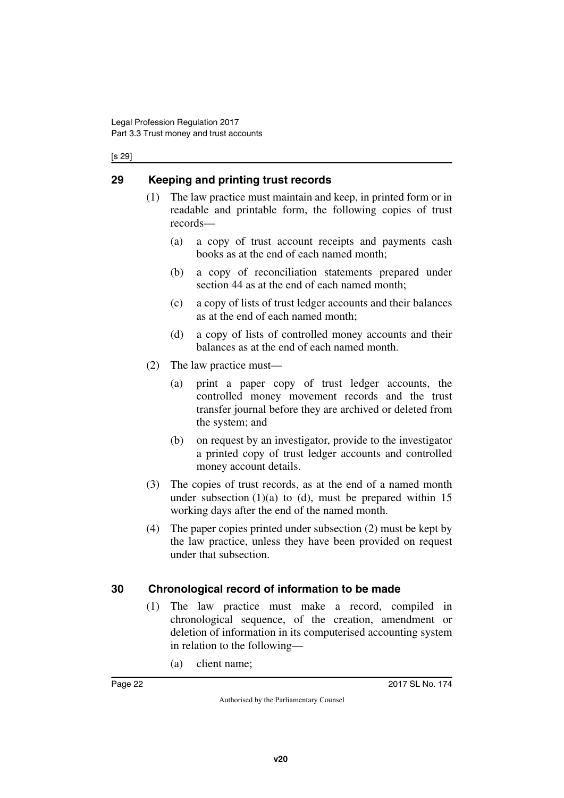#### [s 29]

# <span id="page-21-0"></span>**29 Keeping and printing trust records**

- <span id="page-21-1"></span>(1) The law practice must maintain and keep, in printed form or in readable and printable form, the following copies of trust records—
	- (a) a copy of trust account receipts and payments cash books as at the end of each named month;
	- (b) a copy of reconciliation statements prepared under section 44 as at the end of each named month;
	- (c) a copy of lists of trust ledger accounts and their balances as at the end of each named month;
	- (d) a copy of lists of controlled money accounts and their balances as at the end of each named month.
- (2) The law practice must—
	- (a) print a paper copy of trust ledger accounts, the controlled money movement records and the trust transfer journal before they are archived or deleted from the system; and
	- (b) on request by an investigator, provide to the investigator a printed copy of trust ledger accounts and controlled money account details.
- (3) The copies of trust records, as at the end of a named month under subsection  $(1)(a)$  to  $(d)$ , must be prepared within 15 working days after the end of the named month.
- (4) The paper copies printed under subsection (2) must be kept by the law practice, unless they have been provided on request under that subsection.

# <span id="page-21-2"></span>**30 Chronological record of information to be made**

- <span id="page-21-3"></span>(1) The law practice must make a record, compiled in chronological sequence, of the creation, amendment or deletion of information in its computerised accounting system in relation to the following—
	- (a) client name;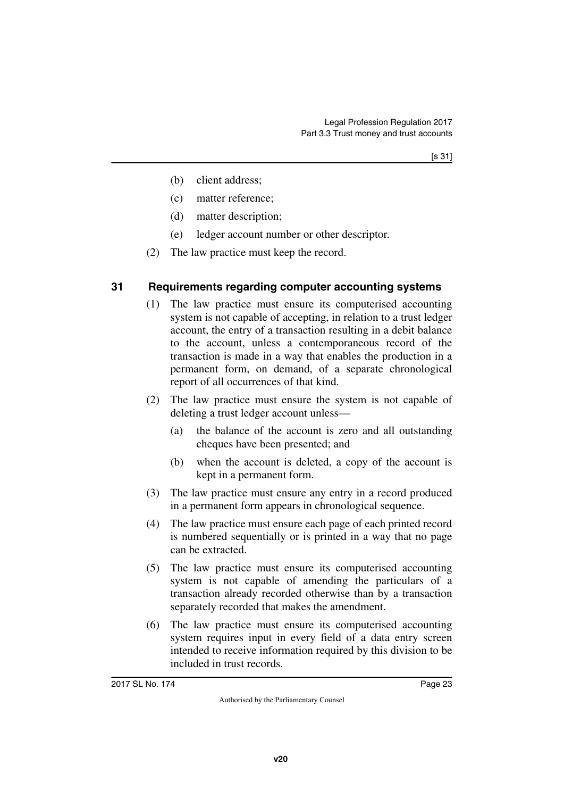- (b) client address;
- (c) matter reference;
- (d) matter description;
- (e) ledger account number or other descriptor.
- <span id="page-22-1"></span>(2) The law practice must keep the record.

## <span id="page-22-0"></span>**31 Requirements regarding computer accounting systems**

- (1) The law practice must ensure its computerised accounting system is not capable of accepting, in relation to a trust ledger account, the entry of a transaction resulting in a debit balance to the account, unless a contemporaneous record of the transaction is made in a way that enables the production in a permanent form, on demand, of a separate chronological report of all occurrences of that kind.
- (2) The law practice must ensure the system is not capable of deleting a trust ledger account unless—
	- (a) the balance of the account is zero and all outstanding cheques have been presented; and
	- (b) when the account is deleted, a copy of the account is kept in a permanent form.
- (3) The law practice must ensure any entry in a record produced in a permanent form appears in chronological sequence.
- (4) The law practice must ensure each page of each printed record is numbered sequentially or is printed in a way that no page can be extracted.
- (5) The law practice must ensure its computerised accounting system is not capable of amending the particulars of a transaction already recorded otherwise than by a transaction separately recorded that makes the amendment.
- (6) The law practice must ensure its computerised accounting system requires input in every field of a data entry screen intended to receive information required by this division to be included in trust records.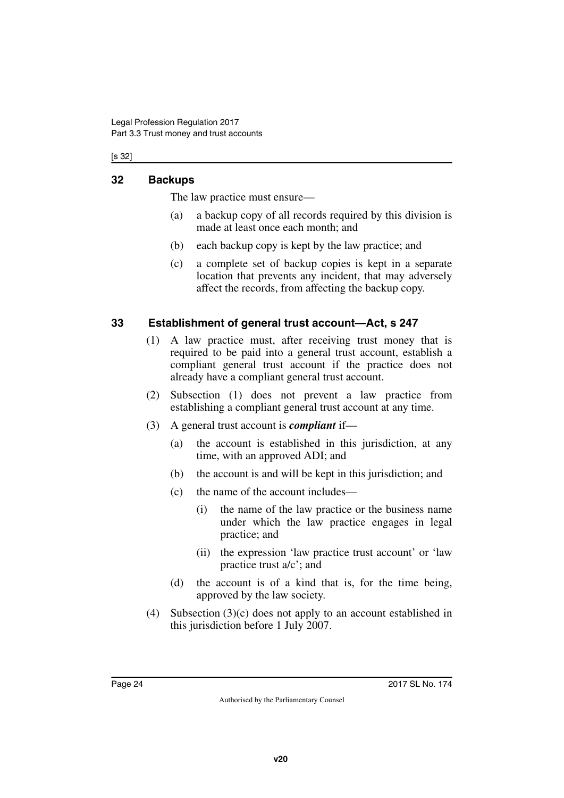[s 32]

# <span id="page-23-0"></span>**32 Backups**

<span id="page-23-1"></span>The law practice must ensure—

- (a) a backup copy of all records required by this division is made at least once each month; and
- (b) each backup copy is kept by the law practice; and
- (c) a complete set of backup copies is kept in a separate location that prevents any incident, that may adversely affect the records, from affecting the backup copy.

# <span id="page-23-2"></span>**33 Establishment of general trust account—Act, s 247**

- <span id="page-23-3"></span>(1) A law practice must, after receiving trust money that is required to be paid into a general trust account, establish a compliant general trust account if the practice does not already have a compliant general trust account.
- (2) Subsection (1) does not prevent a law practice from establishing a compliant general trust account at any time.
- (3) A general trust account is *compliant* if—
	- (a) the account is established in this jurisdiction, at any time, with an approved ADI; and
	- (b) the account is and will be kept in this jurisdiction; and
	- (c) the name of the account includes—
		- (i) the name of the law practice or the business name under which the law practice engages in legal practice; and
		- (ii) the expression 'law practice trust account' or 'law practice trust a/c'; and
	- (d) the account is of a kind that is, for the time being, approved by the law society.
- (4) Subsection (3)(c) does not apply to an account established in this jurisdiction before 1 July 2007.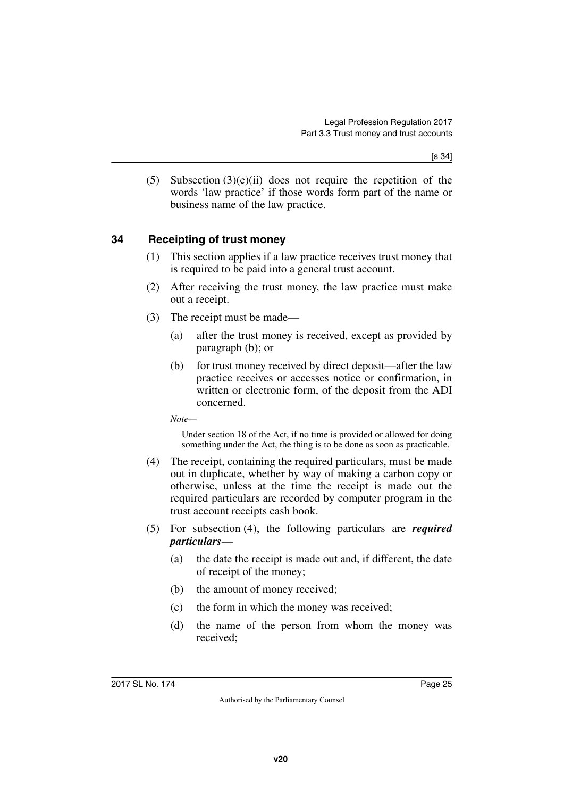(5) Subsection  $(3)(c)(ii)$  does not require the repetition of the words 'law practice' if those words form part of the name or business name of the law practice.

# <span id="page-24-0"></span>**34 Receipting of trust money**

- <span id="page-24-1"></span>(1) This section applies if a law practice receives trust money that is required to be paid into a general trust account.
- (2) After receiving the trust money, the law practice must make out a receipt.
- (3) The receipt must be made—
	- (a) after the trust money is received, except as provided by paragraph (b); or
	- (b) for trust money received by direct deposit—after the law practice receives or accesses notice or confirmation, in written or electronic form, of the deposit from the ADI concerned.

*Note—*

Under section 18 of the Act, if no time is provided or allowed for doing something under the Act, the thing is to be done as soon as practicable.

- (4) The receipt, containing the required particulars, must be made out in duplicate, whether by way of making a carbon copy or otherwise, unless at the time the receipt is made out the required particulars are recorded by computer program in the trust account receipts cash book.
- (5) For subsection (4), the following particulars are *required particulars*—
	- (a) the date the receipt is made out and, if different, the date of receipt of the money;
	- (b) the amount of money received;
	- (c) the form in which the money was received;
	- (d) the name of the person from whom the money was received;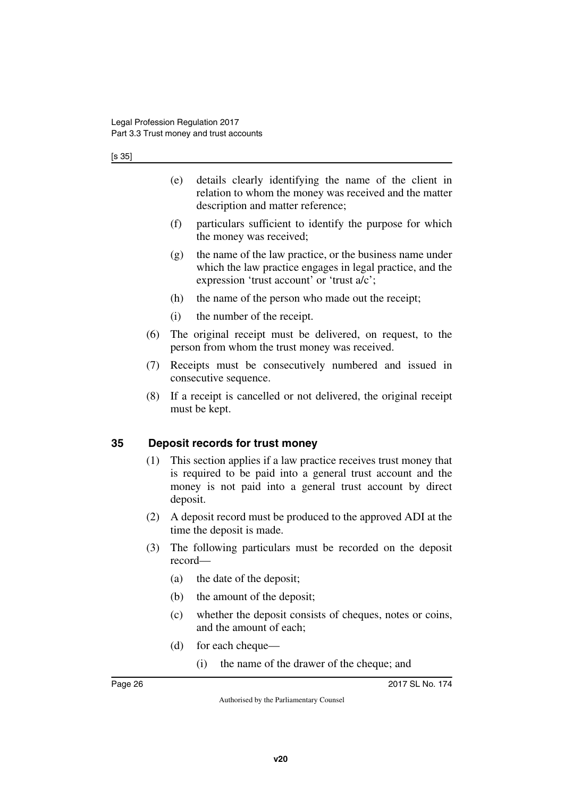[s 35]

- (e) details clearly identifying the name of the client in relation to whom the money was received and the matter description and matter reference;
- (f) particulars sufficient to identify the purpose for which the money was received;
- $(g)$  the name of the law practice, or the business name under which the law practice engages in legal practice, and the expression 'trust account' or 'trust a/c';
- (h) the name of the person who made out the receipt;
- (i) the number of the receipt.
- (6) The original receipt must be delivered, on request, to the person from whom the trust money was received.
- (7) Receipts must be consecutively numbered and issued in consecutive sequence.
- (8) If a receipt is cancelled or not delivered, the original receipt must be kept.

# <span id="page-25-0"></span>**35 Deposit records for trust money**

- <span id="page-25-1"></span>(1) This section applies if a law practice receives trust money that is required to be paid into a general trust account and the money is not paid into a general trust account by direct deposit.
- (2) A deposit record must be produced to the approved ADI at the time the deposit is made.
- (3) The following particulars must be recorded on the deposit record—
	- (a) the date of the deposit;
	- (b) the amount of the deposit;
	- (c) whether the deposit consists of cheques, notes or coins, and the amount of each;
	- (d) for each cheque—
		- (i) the name of the drawer of the cheque; and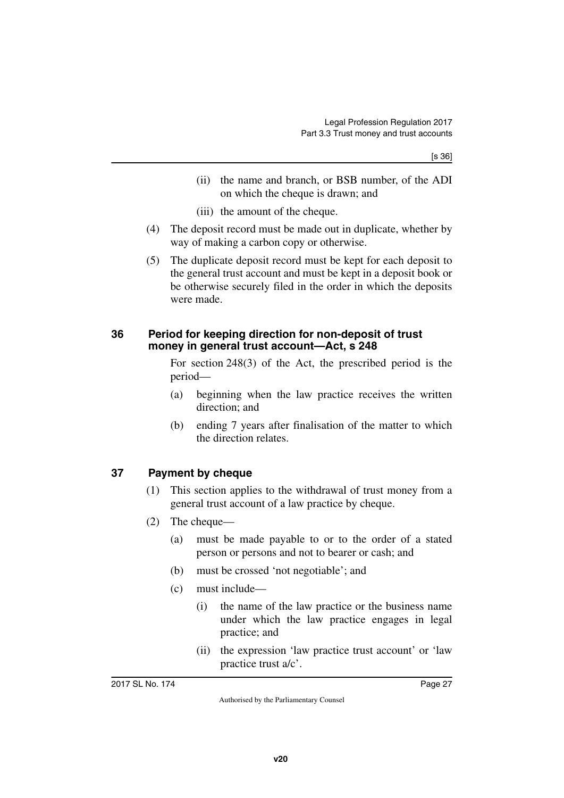- (ii) the name and branch, or BSB number, of the ADI on which the cheque is drawn; and
- (iii) the amount of the cheque.
- (4) The deposit record must be made out in duplicate, whether by way of making a carbon copy or otherwise.
- (5) The duplicate deposit record must be kept for each deposit to the general trust account and must be kept in a deposit book or be otherwise securely filed in the order in which the deposits were made.

### <span id="page-26-1"></span><span id="page-26-0"></span>**36 Period for keeping direction for non-deposit of trust money in general trust account—Act, s 248**

For section 248(3) of the Act, the prescribed period is the period—

- (a) beginning when the law practice receives the written direction; and
- (b) ending 7 years after finalisation of the matter to which the direction relates.

# <span id="page-26-2"></span>**37 Payment by cheque**

- <span id="page-26-3"></span>(1) This section applies to the withdrawal of trust money from a general trust account of a law practice by cheque.
- (2) The cheque—
	- (a) must be made payable to or to the order of a stated person or persons and not to bearer or cash; and
	- (b) must be crossed 'not negotiable'; and
	- (c) must include—
		- (i) the name of the law practice or the business name under which the law practice engages in legal practice; and
		- (ii) the expression 'law practice trust account' or 'law practice trust a/c'.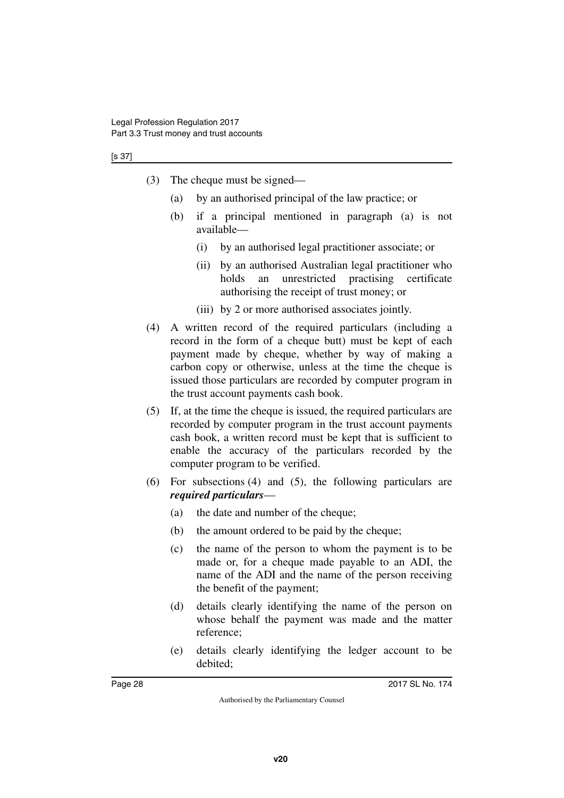#### [s 37]

- (3) The cheque must be signed—
	- (a) by an authorised principal of the law practice; or
	- (b) if a principal mentioned in paragraph (a) is not available—
		- (i) by an authorised legal practitioner associate; or
		- (ii) by an authorised Australian legal practitioner who holds an unrestricted practising certificate authorising the receipt of trust money; or
		- (iii) by 2 or more authorised associates jointly.
- (4) A written record of the required particulars (including a record in the form of a cheque butt) must be kept of each payment made by cheque, whether by way of making a carbon copy or otherwise, unless at the time the cheque is issued those particulars are recorded by computer program in the trust account payments cash book.
- (5) If, at the time the cheque is issued, the required particulars are recorded by computer program in the trust account payments cash book, a written record must be kept that is sufficient to enable the accuracy of the particulars recorded by the computer program to be verified.
- (6) For subsections (4) and (5), the following particulars are *required particulars*—
	- (a) the date and number of the cheque;
	- (b) the amount ordered to be paid by the cheque;
	- (c) the name of the person to whom the payment is to be made or, for a cheque made payable to an ADI, the name of the ADI and the name of the person receiving the benefit of the payment;
	- (d) details clearly identifying the name of the person on whose behalf the payment was made and the matter reference;
	- (e) details clearly identifying the ledger account to be debited;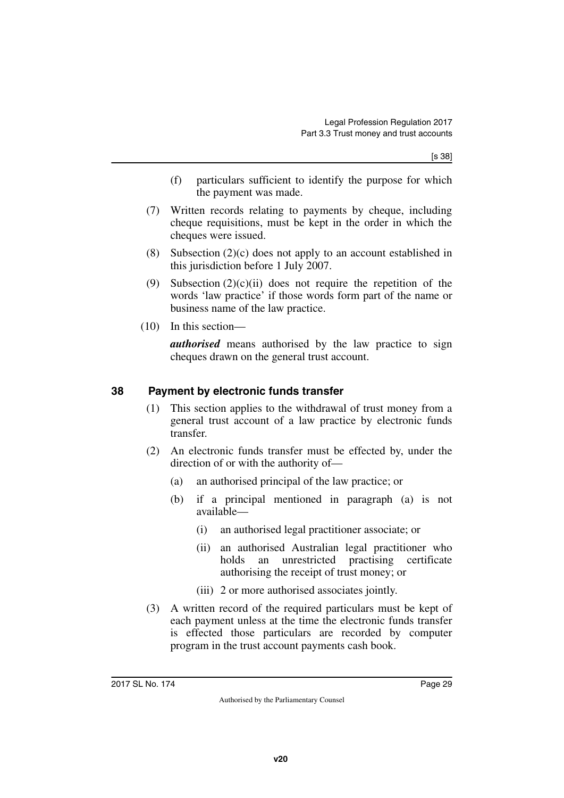[s 38]

- (f) particulars sufficient to identify the purpose for which the payment was made.
- (7) Written records relating to payments by cheque, including cheque requisitions, must be kept in the order in which the cheques were issued.
- (8) Subsection (2)(c) does not apply to an account established in this jurisdiction before 1 July 2007.
- (9) Subsection  $(2)(c)(ii)$  does not require the repetition of the words 'law practice' if those words form part of the name or business name of the law practice.
- (10) In this section—

*authorised* means authorised by the law practice to sign cheques drawn on the general trust account.

# <span id="page-28-0"></span>**38 Payment by electronic funds transfer**

- <span id="page-28-1"></span>(1) This section applies to the withdrawal of trust money from a general trust account of a law practice by electronic funds transfer.
- (2) An electronic funds transfer must be effected by, under the direction of or with the authority of—
	- (a) an authorised principal of the law practice; or
	- (b) if a principal mentioned in paragraph (a) is not available—
		- (i) an authorised legal practitioner associate; or
		- (ii) an authorised Australian legal practitioner who holds an unrestricted practising certificate authorising the receipt of trust money; or
		- (iii) 2 or more authorised associates jointly.
- (3) A written record of the required particulars must be kept of each payment unless at the time the electronic funds transfer is effected those particulars are recorded by computer program in the trust account payments cash book.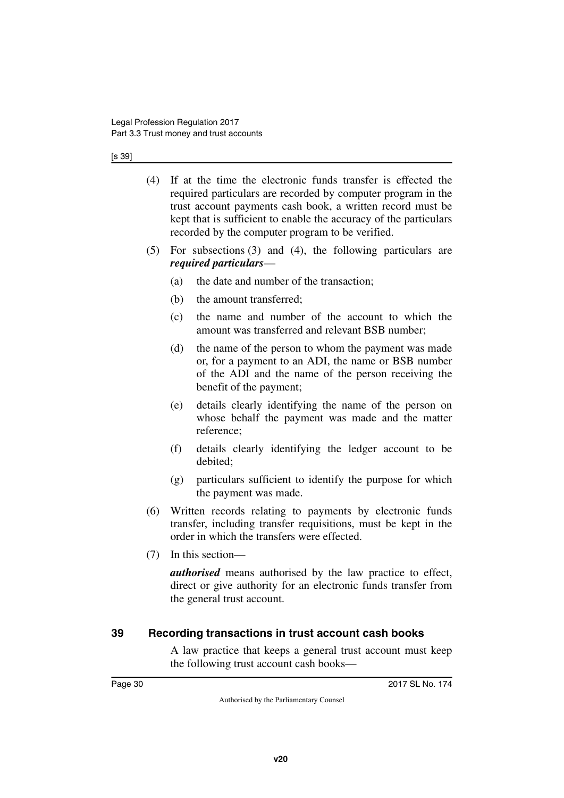#### [s 39]

- (4) If at the time the electronic funds transfer is effected the required particulars are recorded by computer program in the trust account payments cash book, a written record must be kept that is sufficient to enable the accuracy of the particulars recorded by the computer program to be verified.
- (5) For subsections (3) and (4), the following particulars are *required particulars*—
	- (a) the date and number of the transaction;
	- (b) the amount transferred;
	- (c) the name and number of the account to which the amount was transferred and relevant BSB number;
	- (d) the name of the person to whom the payment was made or, for a payment to an ADI, the name or BSB number of the ADI and the name of the person receiving the benefit of the payment;
	- (e) details clearly identifying the name of the person on whose behalf the payment was made and the matter reference;
	- (f) details clearly identifying the ledger account to be debited;
	- (g) particulars sufficient to identify the purpose for which the payment was made.
- (6) Written records relating to payments by electronic funds transfer, including transfer requisitions, must be kept in the order in which the transfers were effected.
- (7) In this section—

*authorised* means authorised by the law practice to effect, direct or give authority for an electronic funds transfer from the general trust account.

# <span id="page-29-0"></span>**39 Recording transactions in trust account cash books**

<span id="page-29-1"></span>A law practice that keeps a general trust account must keep the following trust account cash books—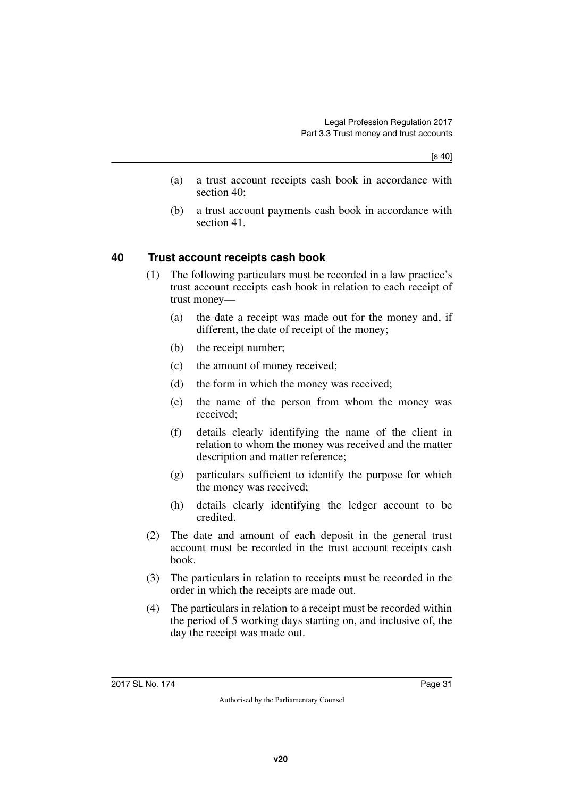[s 40]

- (a) a trust account receipts cash book in accordance with section 40;
- (b) a trust account payments cash book in accordance with section 41.

# <span id="page-30-0"></span>**40 Trust account receipts cash book**

- <span id="page-30-1"></span>(1) The following particulars must be recorded in a law practice's trust account receipts cash book in relation to each receipt of trust money—
	- (a) the date a receipt was made out for the money and, if different, the date of receipt of the money;
	- (b) the receipt number;
	- (c) the amount of money received;
	- (d) the form in which the money was received;
	- (e) the name of the person from whom the money was received;
	- (f) details clearly identifying the name of the client in relation to whom the money was received and the matter description and matter reference;
	- (g) particulars sufficient to identify the purpose for which the money was received;
	- (h) details clearly identifying the ledger account to be credited.
- (2) The date and amount of each deposit in the general trust account must be recorded in the trust account receipts cash book.
- (3) The particulars in relation to receipts must be recorded in the order in which the receipts are made out.
- (4) The particulars in relation to a receipt must be recorded within the period of 5 working days starting on, and inclusive of, the day the receipt was made out.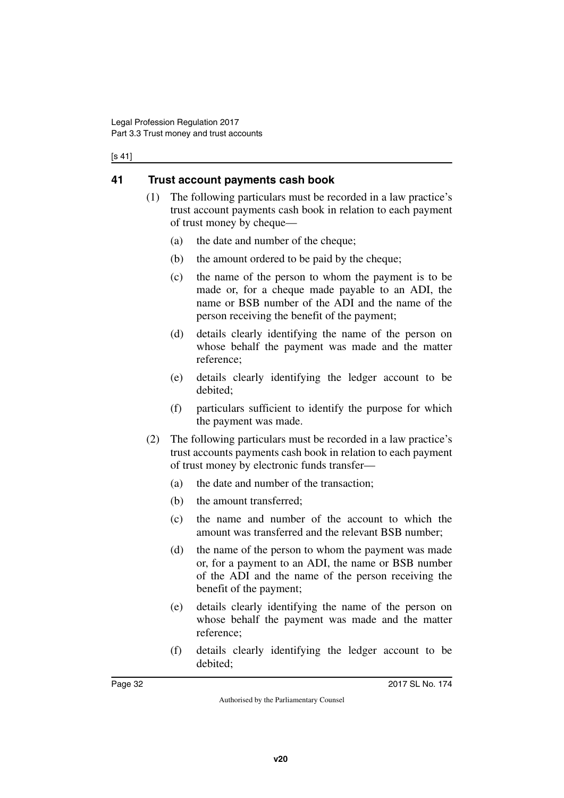#### [s 41]

# <span id="page-31-0"></span>**41 Trust account payments cash book**

- <span id="page-31-1"></span>(1) The following particulars must be recorded in a law practice's trust account payments cash book in relation to each payment of trust money by cheque—
	- (a) the date and number of the cheque;
	- (b) the amount ordered to be paid by the cheque;
	- (c) the name of the person to whom the payment is to be made or, for a cheque made payable to an ADI, the name or BSB number of the ADI and the name of the person receiving the benefit of the payment;
	- (d) details clearly identifying the name of the person on whose behalf the payment was made and the matter reference;
	- (e) details clearly identifying the ledger account to be debited;
	- (f) particulars sufficient to identify the purpose for which the payment was made.
- (2) The following particulars must be recorded in a law practice's trust accounts payments cash book in relation to each payment of trust money by electronic funds transfer—
	- (a) the date and number of the transaction;
	- (b) the amount transferred;
	- (c) the name and number of the account to which the amount was transferred and the relevant BSB number;
	- (d) the name of the person to whom the payment was made or, for a payment to an ADI, the name or BSB number of the ADI and the name of the person receiving the benefit of the payment;
	- (e) details clearly identifying the name of the person on whose behalf the payment was made and the matter reference;
	- (f) details clearly identifying the ledger account to be debited;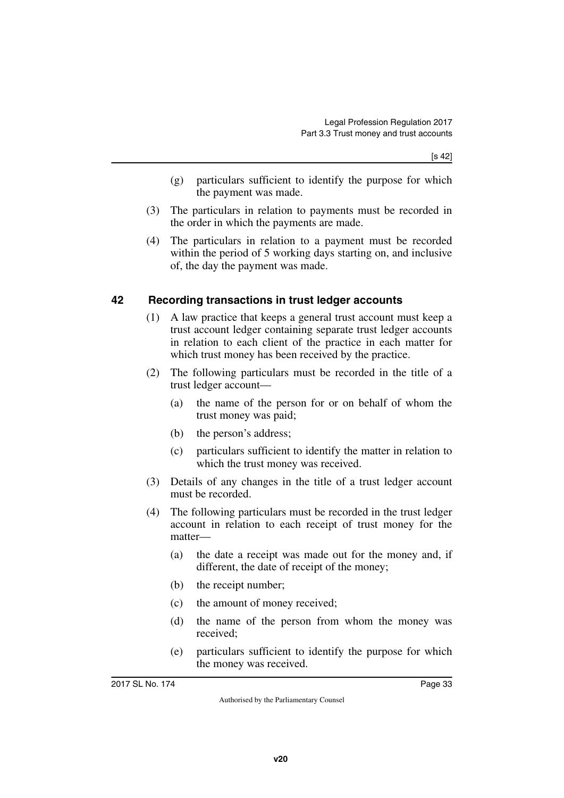[s 42]

- (g) particulars sufficient to identify the purpose for which the payment was made.
- (3) The particulars in relation to payments must be recorded in the order in which the payments are made.
- (4) The particulars in relation to a payment must be recorded within the period of 5 working days starting on, and inclusive of, the day the payment was made.

## <span id="page-32-0"></span>**42 Recording transactions in trust ledger accounts**

- <span id="page-32-1"></span>(1) A law practice that keeps a general trust account must keep a trust account ledger containing separate trust ledger accounts in relation to each client of the practice in each matter for which trust money has been received by the practice.
- (2) The following particulars must be recorded in the title of a trust ledger account—
	- (a) the name of the person for or on behalf of whom the trust money was paid;
	- (b) the person's address;
	- (c) particulars sufficient to identify the matter in relation to which the trust money was received.
- (3) Details of any changes in the title of a trust ledger account must be recorded.
- (4) The following particulars must be recorded in the trust ledger account in relation to each receipt of trust money for the matter—
	- (a) the date a receipt was made out for the money and, if different, the date of receipt of the money;
	- (b) the receipt number;
	- (c) the amount of money received;
	- (d) the name of the person from whom the money was received;
	- (e) particulars sufficient to identify the purpose for which the money was received.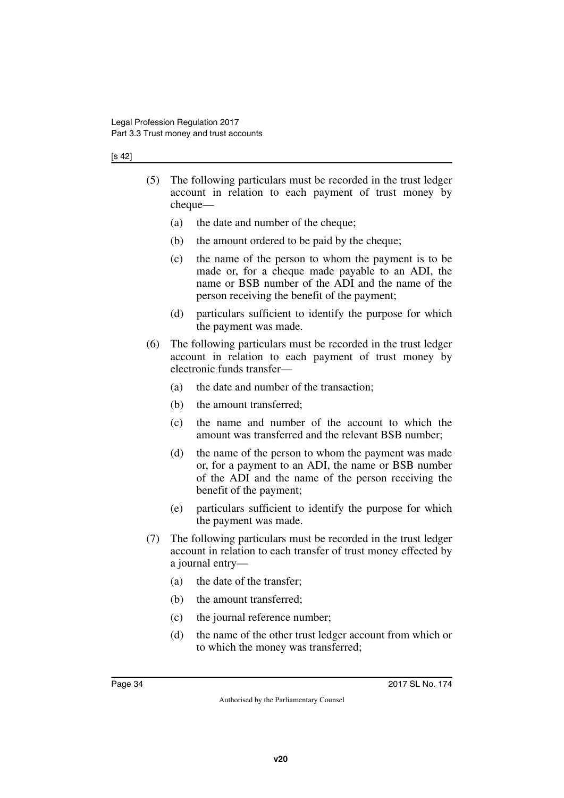#### [s 42]

- (5) The following particulars must be recorded in the trust ledger account in relation to each payment of trust money by cheque—
	- (a) the date and number of the cheque;
	- (b) the amount ordered to be paid by the cheque;
	- (c) the name of the person to whom the payment is to be made or, for a cheque made payable to an ADI, the name or BSB number of the ADI and the name of the person receiving the benefit of the payment;
	- (d) particulars sufficient to identify the purpose for which the payment was made.
- (6) The following particulars must be recorded in the trust ledger account in relation to each payment of trust money by electronic funds transfer—
	- (a) the date and number of the transaction;
	- (b) the amount transferred;
	- (c) the name and number of the account to which the amount was transferred and the relevant BSB number;
	- (d) the name of the person to whom the payment was made or, for a payment to an ADI, the name or BSB number of the ADI and the name of the person receiving the benefit of the payment;
	- (e) particulars sufficient to identify the purpose for which the payment was made.
- (7) The following particulars must be recorded in the trust ledger account in relation to each transfer of trust money effected by a journal entry—
	- (a) the date of the transfer;
	- (b) the amount transferred;
	- (c) the journal reference number;
	- (d) the name of the other trust ledger account from which or to which the money was transferred;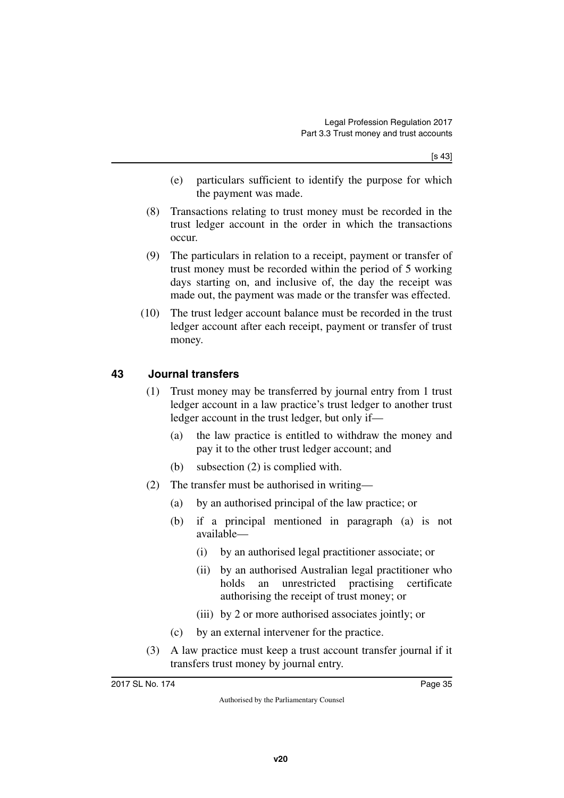[s 43]

- (e) particulars sufficient to identify the purpose for which the payment was made.
- (8) Transactions relating to trust money must be recorded in the trust ledger account in the order in which the transactions occur.
- (9) The particulars in relation to a receipt, payment or transfer of trust money must be recorded within the period of 5 working days starting on, and inclusive of, the day the receipt was made out, the payment was made or the transfer was effected.
- (10) The trust ledger account balance must be recorded in the trust ledger account after each receipt, payment or transfer of trust money.

# <span id="page-34-0"></span>**43 Journal transfers**

- <span id="page-34-1"></span>(1) Trust money may be transferred by journal entry from 1 trust ledger account in a law practice's trust ledger to another trust ledger account in the trust ledger, but only if—
	- (a) the law practice is entitled to withdraw the money and pay it to the other trust ledger account; and
	- (b) subsection (2) is complied with.
- (2) The transfer must be authorised in writing—
	- (a) by an authorised principal of the law practice; or
	- (b) if a principal mentioned in paragraph (a) is not available—
		- (i) by an authorised legal practitioner associate; or
		- (ii) by an authorised Australian legal practitioner who holds an unrestricted practising certificate authorising the receipt of trust money; or
		- (iii) by 2 or more authorised associates jointly; or
	- (c) by an external intervener for the practice.
- (3) A law practice must keep a trust account transfer journal if it transfers trust money by journal entry.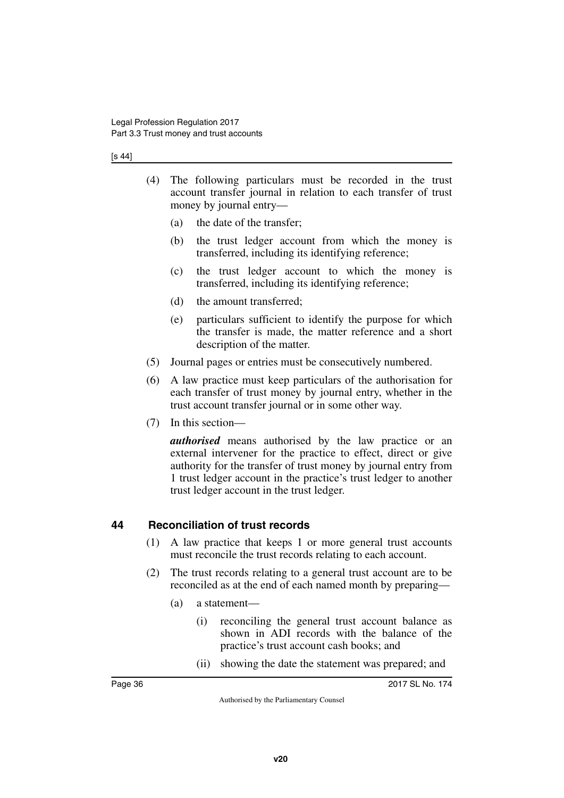#### [s 44]

- (4) The following particulars must be recorded in the trust account transfer journal in relation to each transfer of trust money by journal entry—
	- (a) the date of the transfer;
	- (b) the trust ledger account from which the money is transferred, including its identifying reference;
	- (c) the trust ledger account to which the money is transferred, including its identifying reference;
	- (d) the amount transferred;
	- (e) particulars sufficient to identify the purpose for which the transfer is made, the matter reference and a short description of the matter.
- (5) Journal pages or entries must be consecutively numbered.
- (6) A law practice must keep particulars of the authorisation for each transfer of trust money by journal entry, whether in the trust account transfer journal or in some other way.
- (7) In this section—

*authorised* means authorised by the law practice or an external intervener for the practice to effect, direct or give authority for the transfer of trust money by journal entry from 1 trust ledger account in the practice's trust ledger to another trust ledger account in the trust ledger.

## <span id="page-35-0"></span>**44 Reconciliation of trust records**

- <span id="page-35-1"></span>(1) A law practice that keeps 1 or more general trust accounts must reconcile the trust records relating to each account.
- (2) The trust records relating to a general trust account are to be reconciled as at the end of each named month by preparing—
	- (a) a statement—
		- (i) reconciling the general trust account balance as shown in ADI records with the balance of the practice's trust account cash books; and
		- (ii) showing the date the statement was prepared; and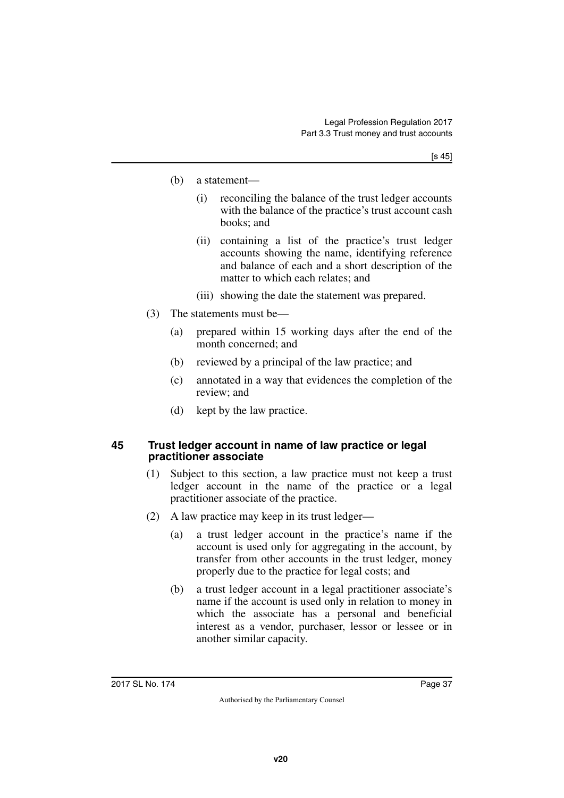- (b) a statement—
	- (i) reconciling the balance of the trust ledger accounts with the balance of the practice's trust account cash books; and
	- (ii) containing a list of the practice's trust ledger accounts showing the name, identifying reference and balance of each and a short description of the matter to which each relates; and
	- (iii) showing the date the statement was prepared.
- (3) The statements must be—
	- (a) prepared within 15 working days after the end of the month concerned; and
	- (b) reviewed by a principal of the law practice; and
	- (c) annotated in a way that evidences the completion of the review; and
	- (d) kept by the law practice.

#### **45 Trust ledger account in name of law practice or legal practitioner associate**

- (1) Subject to this section, a law practice must not keep a trust ledger account in the name of the practice or a legal practitioner associate of the practice.
- (2) A law practice may keep in its trust ledger—
	- (a) a trust ledger account in the practice's name if the account is used only for aggregating in the account, by transfer from other accounts in the trust ledger, money properly due to the practice for legal costs; and
	- (b) a trust ledger account in a legal practitioner associate's name if the account is used only in relation to money in which the associate has a personal and beneficial interest as a vendor, purchaser, lessor or lessee or in another similar capacity.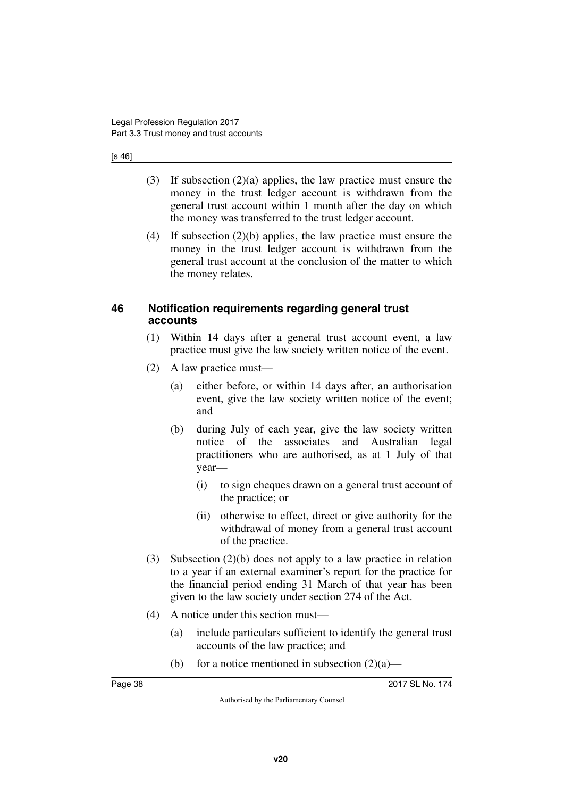#### [s 46]

- (3) If subsection (2)(a) applies, the law practice must ensure the money in the trust ledger account is withdrawn from the general trust account within 1 month after the day on which the money was transferred to the trust ledger account.
- (4) If subsection (2)(b) applies, the law practice must ensure the money in the trust ledger account is withdrawn from the general trust account at the conclusion of the matter to which the money relates.

#### **46 Notification requirements regarding general trust accounts**

- (1) Within 14 days after a general trust account event, a law practice must give the law society written notice of the event.
- (2) A law practice must—
	- (a) either before, or within 14 days after, an authorisation event, give the law society written notice of the event; and
	- (b) during July of each year, give the law society written notice of the associates and Australian legal practitioners who are authorised, as at 1 July of that year—
		- (i) to sign cheques drawn on a general trust account of the practice; or
		- (ii) otherwise to effect, direct or give authority for the withdrawal of money from a general trust account of the practice.
- (3) Subsection (2)(b) does not apply to a law practice in relation to a year if an external examiner's report for the practice for the financial period ending 31 March of that year has been given to the law society under section 274 of the Act.
- (4) A notice under this section must—
	- (a) include particulars sufficient to identify the general trust accounts of the law practice; and
	- (b) for a notice mentioned in subsection  $(2)(a)$ —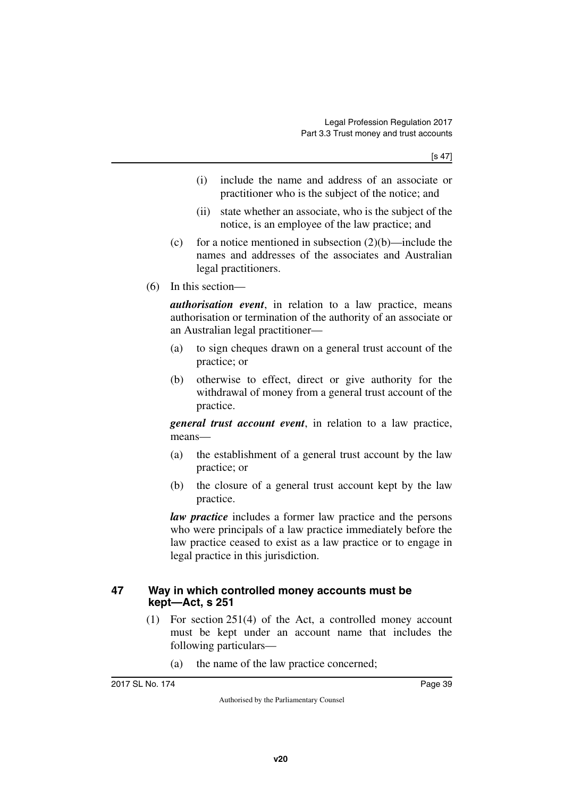- (i) include the name and address of an associate or practitioner who is the subject of the notice; and
- (ii) state whether an associate, who is the subject of the notice, is an employee of the law practice; and
- (c) for a notice mentioned in subsection  $(2)(b)$ —include the names and addresses of the associates and Australian legal practitioners.
- (6) In this section—

*authorisation event*, in relation to a law practice, means authorisation or termination of the authority of an associate or an Australian legal practitioner—

- (a) to sign cheques drawn on a general trust account of the practice; or
- (b) otherwise to effect, direct or give authority for the withdrawal of money from a general trust account of the practice.

*general trust account event*, in relation to a law practice, means—

- (a) the establishment of a general trust account by the law practice; or
- (b) the closure of a general trust account kept by the law practice.

*law practice* includes a former law practice and the persons who were principals of a law practice immediately before the law practice ceased to exist as a law practice or to engage in legal practice in this jurisdiction.

#### **47 Way in which controlled money accounts must be kept—Act, s 251**

- (1) For section 251(4) of the Act, a controlled money account must be kept under an account name that includes the following particulars—
	- (a) the name of the law practice concerned;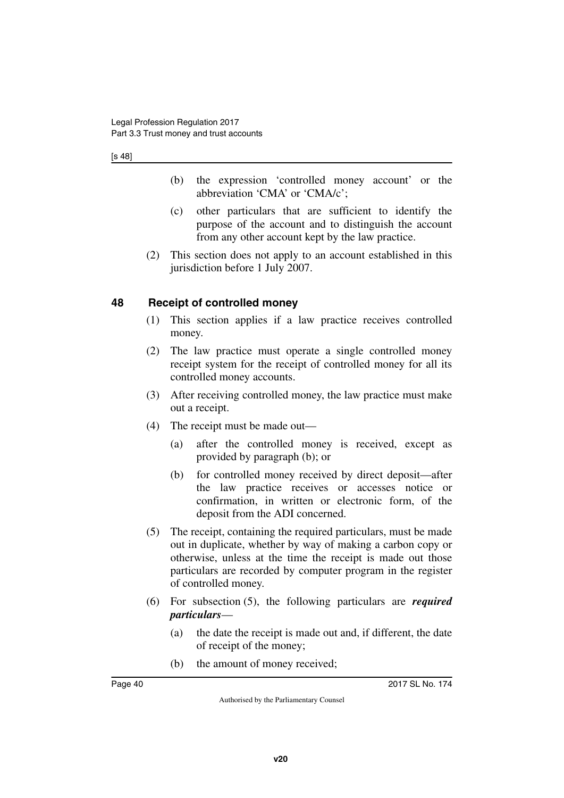[s 48]

- (b) the expression 'controlled money account' or the abbreviation 'CMA' or 'CMA/c';
- (c) other particulars that are sufficient to identify the purpose of the account and to distinguish the account from any other account kept by the law practice.
- (2) This section does not apply to an account established in this jurisdiction before 1 July 2007.

### **48 Receipt of controlled money**

- (1) This section applies if a law practice receives controlled money.
- (2) The law practice must operate a single controlled money receipt system for the receipt of controlled money for all its controlled money accounts.
- (3) After receiving controlled money, the law practice must make out a receipt.
- (4) The receipt must be made out—
	- (a) after the controlled money is received, except as provided by paragraph (b); or
	- (b) for controlled money received by direct deposit—after the law practice receives or accesses notice or confirmation, in written or electronic form, of the deposit from the ADI concerned.
- (5) The receipt, containing the required particulars, must be made out in duplicate, whether by way of making a carbon copy or otherwise, unless at the time the receipt is made out those particulars are recorded by computer program in the register of controlled money.
- (6) For subsection (5), the following particulars are *required particulars*—
	- (a) the date the receipt is made out and, if different, the date of receipt of the money;
	- (b) the amount of money received;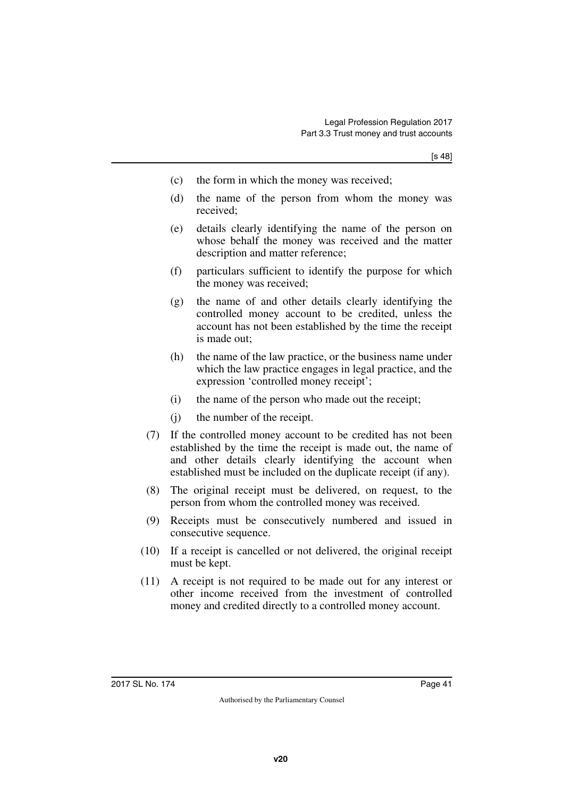- (c) the form in which the money was received;
- (d) the name of the person from whom the money was received;
- (e) details clearly identifying the name of the person on whose behalf the money was received and the matter description and matter reference;
- (f) particulars sufficient to identify the purpose for which the money was received;
- (g) the name of and other details clearly identifying the controlled money account to be credited, unless the account has not been established by the time the receipt is made out;
- (h) the name of the law practice, or the business name under which the law practice engages in legal practice, and the expression 'controlled money receipt';
- (i) the name of the person who made out the receipt;
- (j) the number of the receipt.
- (7) If the controlled money account to be credited has not been established by the time the receipt is made out, the name of and other details clearly identifying the account when established must be included on the duplicate receipt (if any).
- (8) The original receipt must be delivered, on request, to the person from whom the controlled money was received.
- (9) Receipts must be consecutively numbered and issued in consecutive sequence.
- (10) If a receipt is cancelled or not delivered, the original receipt must be kept.
- (11) A receipt is not required to be made out for any interest or other income received from the investment of controlled money and credited directly to a controlled money account.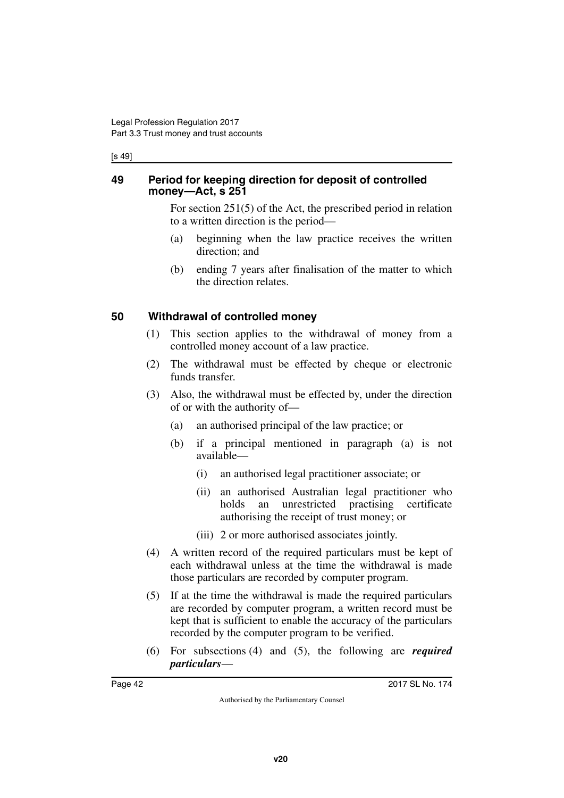[s 49]

#### **49 Period for keeping direction for deposit of controlled money—Act, s 251**

For section 251(5) of the Act, the prescribed period in relation to a written direction is the period—

- (a) beginning when the law practice receives the written direction; and
- (b) ending 7 years after finalisation of the matter to which the direction relates.

## **50 Withdrawal of controlled money**

- (1) This section applies to the withdrawal of money from a controlled money account of a law practice.
- (2) The withdrawal must be effected by cheque or electronic funds transfer.
- (3) Also, the withdrawal must be effected by, under the direction of or with the authority of—
	- (a) an authorised principal of the law practice; or
	- (b) if a principal mentioned in paragraph (a) is not available—
		- (i) an authorised legal practitioner associate; or
		- (ii) an authorised Australian legal practitioner who holds an unrestricted practising certificate authorising the receipt of trust money; or
		- (iii) 2 or more authorised associates jointly.
- (4) A written record of the required particulars must be kept of each withdrawal unless at the time the withdrawal is made those particulars are recorded by computer program.
- (5) If at the time the withdrawal is made the required particulars are recorded by computer program, a written record must be kept that is sufficient to enable the accuracy of the particulars recorded by the computer program to be verified.
- (6) For subsections (4) and (5), the following are *required particulars*—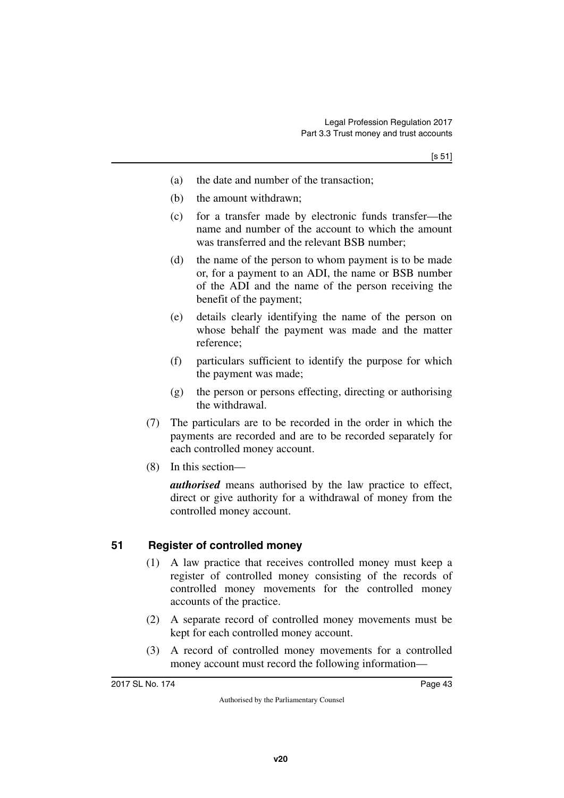- (a) the date and number of the transaction;
- (b) the amount withdrawn;
- (c) for a transfer made by electronic funds transfer—the name and number of the account to which the amount was transferred and the relevant BSB number;
- (d) the name of the person to whom payment is to be made or, for a payment to an ADI, the name or BSB number of the ADI and the name of the person receiving the benefit of the payment;
- (e) details clearly identifying the name of the person on whose behalf the payment was made and the matter reference;
- (f) particulars sufficient to identify the purpose for which the payment was made;
- (g) the person or persons effecting, directing or authorising the withdrawal.
- (7) The particulars are to be recorded in the order in which the payments are recorded and are to be recorded separately for each controlled money account.
- (8) In this section—

*authorised* means authorised by the law practice to effect, direct or give authority for a withdrawal of money from the controlled money account.

#### **51 Register of controlled money**

- (1) A law practice that receives controlled money must keep a register of controlled money consisting of the records of controlled money movements for the controlled money accounts of the practice.
- (2) A separate record of controlled money movements must be kept for each controlled money account.
- (3) A record of controlled money movements for a controlled money account must record the following information—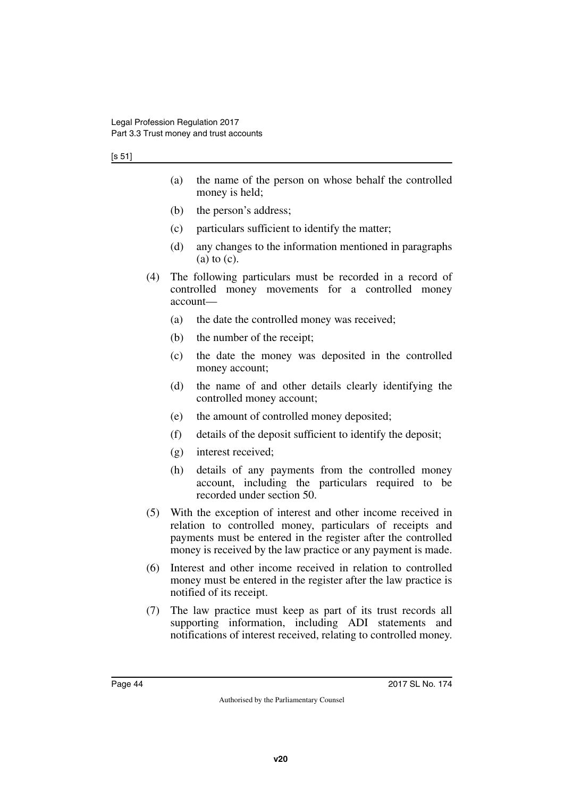#### [s 51]

- (a) the name of the person on whose behalf the controlled money is held;
- (b) the person's address;
- (c) particulars sufficient to identify the matter;
- (d) any changes to the information mentioned in paragraphs  $(a)$  to  $(c)$ .
- (4) The following particulars must be recorded in a record of controlled money movements for a controlled money account—
	- (a) the date the controlled money was received;
	- (b) the number of the receipt;
	- (c) the date the money was deposited in the controlled money account;
	- (d) the name of and other details clearly identifying the controlled money account;
	- (e) the amount of controlled money deposited;
	- (f) details of the deposit sufficient to identify the deposit;
	- (g) interest received;
	- (h) details of any payments from the controlled money account, including the particulars required to be recorded under section 50.
- (5) With the exception of interest and other income received in relation to controlled money, particulars of receipts and payments must be entered in the register after the controlled money is received by the law practice or any payment is made.
- (6) Interest and other income received in relation to controlled money must be entered in the register after the law practice is notified of its receipt.
- (7) The law practice must keep as part of its trust records all supporting information, including ADI statements and notifications of interest received, relating to controlled money.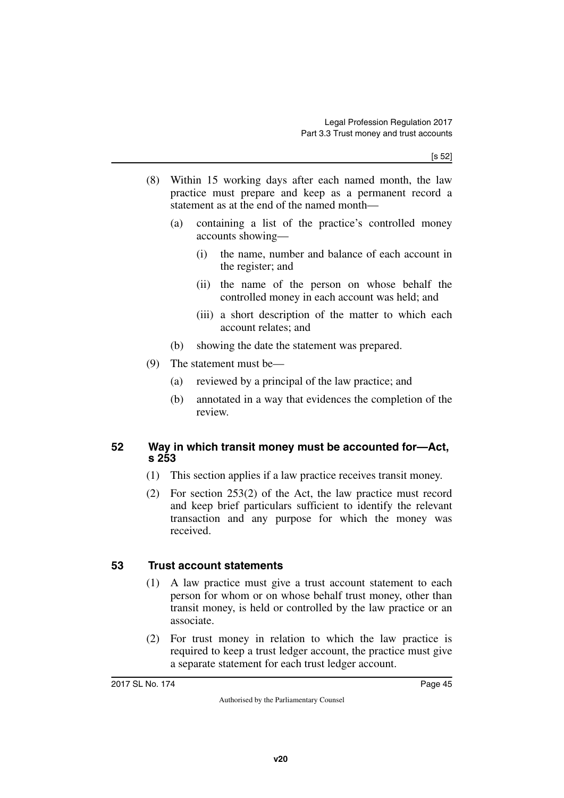- (8) Within 15 working days after each named month, the law practice must prepare and keep as a permanent record a statement as at the end of the named month—
	- (a) containing a list of the practice's controlled money accounts showing—
		- (i) the name, number and balance of each account in the register; and
		- (ii) the name of the person on whose behalf the controlled money in each account was held; and
		- (iii) a short description of the matter to which each account relates; and
	- (b) showing the date the statement was prepared.
- (9) The statement must be—
	- (a) reviewed by a principal of the law practice; and
	- (b) annotated in a way that evidences the completion of the review.

### **52 Way in which transit money must be accounted for—Act, s 253**

- (1) This section applies if a law practice receives transit money.
- (2) For section 253(2) of the Act, the law practice must record and keep brief particulars sufficient to identify the relevant transaction and any purpose for which the money was received.

## **53 Trust account statements**

- (1) A law practice must give a trust account statement to each person for whom or on whose behalf trust money, other than transit money, is held or controlled by the law practice or an associate.
- (2) For trust money in relation to which the law practice is required to keep a trust ledger account, the practice must give a separate statement for each trust ledger account.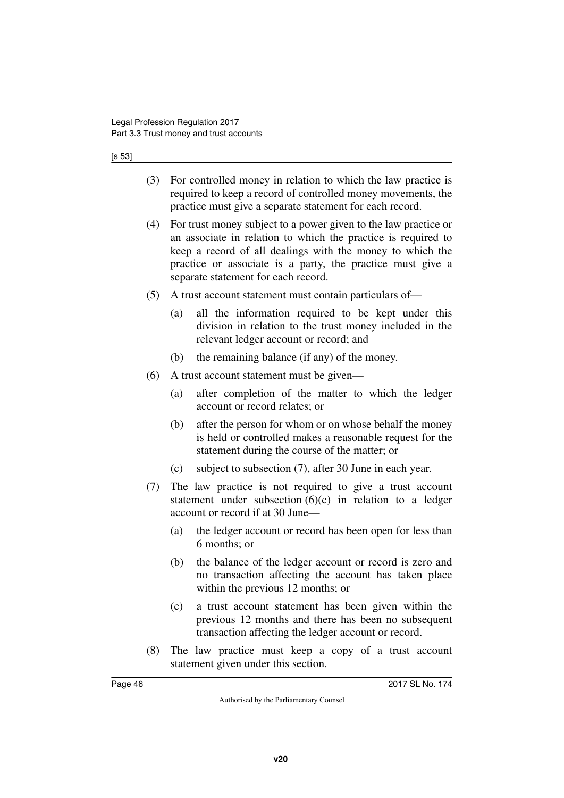#### [s 53]

- (3) For controlled money in relation to which the law practice is required to keep a record of controlled money movements, the practice must give a separate statement for each record.
- (4) For trust money subject to a power given to the law practice or an associate in relation to which the practice is required to keep a record of all dealings with the money to which the practice or associate is a party, the practice must give a separate statement for each record.
- (5) A trust account statement must contain particulars of—
	- (a) all the information required to be kept under this division in relation to the trust money included in the relevant ledger account or record; and
	- (b) the remaining balance (if any) of the money.
- (6) A trust account statement must be given—
	- (a) after completion of the matter to which the ledger account or record relates; or
	- (b) after the person for whom or on whose behalf the money is held or controlled makes a reasonable request for the statement during the course of the matter; or
	- (c) subject to subsection (7), after 30 June in each year.
- (7) The law practice is not required to give a trust account statement under subsection  $(6)(c)$  in relation to a ledger account or record if at 30 June—
	- (a) the ledger account or record has been open for less than 6 months; or
	- (b) the balance of the ledger account or record is zero and no transaction affecting the account has taken place within the previous 12 months; or
	- (c) a trust account statement has been given within the previous 12 months and there has been no subsequent transaction affecting the ledger account or record.
- (8) The law practice must keep a copy of a trust account statement given under this section.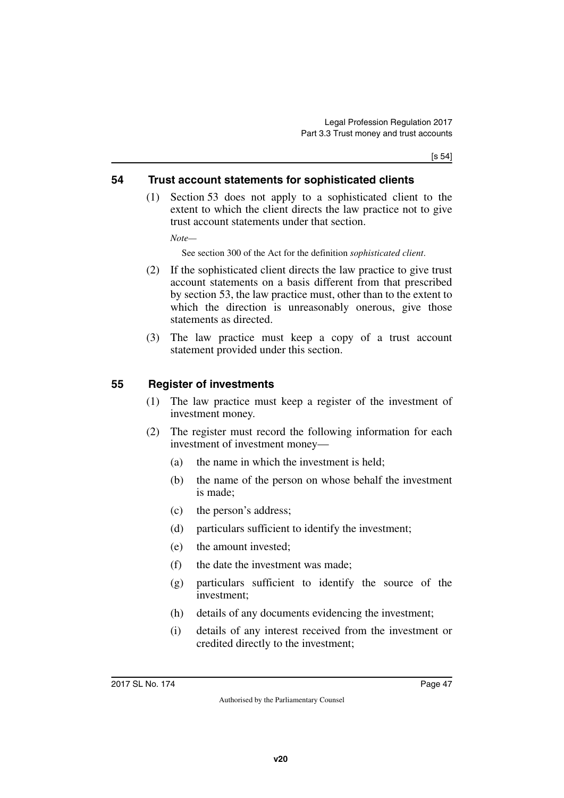[s 54]

#### **54 Trust account statements for sophisticated clients**

(1) Section 53 does not apply to a sophisticated client to the extent to which the client directs the law practice not to give trust account statements under that section.

*Note—*

See section 300 of the Act for the definition *sophisticated client*.

- (2) If the sophisticated client directs the law practice to give trust account statements on a basis different from that prescribed by section 53, the law practice must, other than to the extent to which the direction is unreasonably onerous, give those statements as directed.
- (3) The law practice must keep a copy of a trust account statement provided under this section.

### **55 Register of investments**

- (1) The law practice must keep a register of the investment of investment money.
- (2) The register must record the following information for each investment of investment money—
	- (a) the name in which the investment is held;
	- (b) the name of the person on whose behalf the investment is made;
	- (c) the person's address;
	- (d) particulars sufficient to identify the investment;
	- (e) the amount invested;
	- (f) the date the investment was made;
	- (g) particulars sufficient to identify the source of the investment;
	- (h) details of any documents evidencing the investment;
	- (i) details of any interest received from the investment or credited directly to the investment;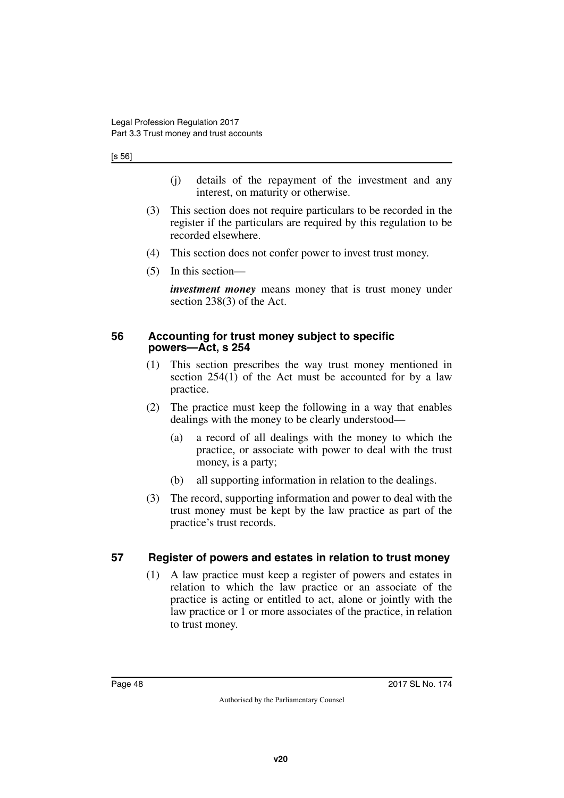[s 56]

- (j) details of the repayment of the investment and any interest, on maturity or otherwise.
- (3) This section does not require particulars to be recorded in the register if the particulars are required by this regulation to be recorded elsewhere.
- (4) This section does not confer power to invest trust money.
- (5) In this section—

*investment money* means money that is trust money under section 238(3) of the Act.

#### **56 Accounting for trust money subject to specific powers—Act, s 254**

- (1) This section prescribes the way trust money mentioned in section 254(1) of the Act must be accounted for by a law practice.
- (2) The practice must keep the following in a way that enables dealings with the money to be clearly understood—
	- (a) a record of all dealings with the money to which the practice, or associate with power to deal with the trust money, is a party;
	- (b) all supporting information in relation to the dealings.
- (3) The record, supporting information and power to deal with the trust money must be kept by the law practice as part of the practice's trust records.

### **57 Register of powers and estates in relation to trust money**

(1) A law practice must keep a register of powers and estates in relation to which the law practice or an associate of the practice is acting or entitled to act, alone or jointly with the law practice or 1 or more associates of the practice, in relation to trust money.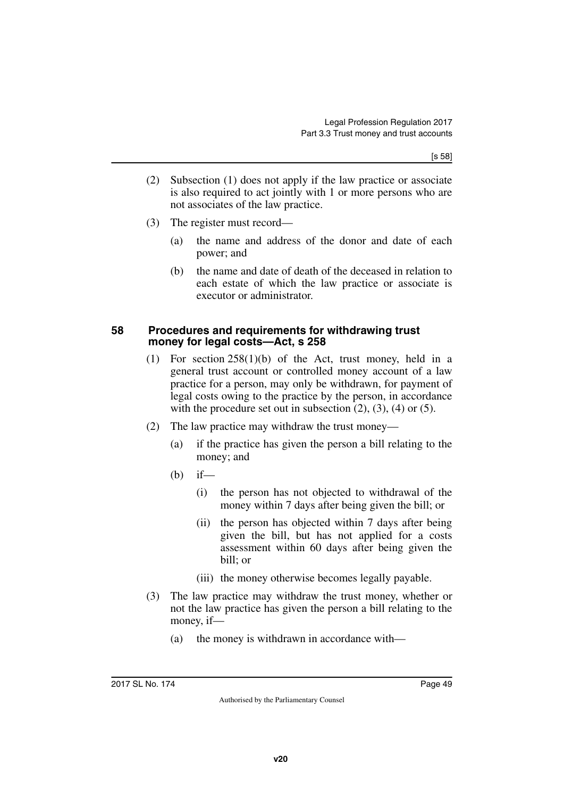- (2) Subsection (1) does not apply if the law practice or associate is also required to act jointly with 1 or more persons who are not associates of the law practice.
- (3) The register must record—
	- (a) the name and address of the donor and date of each power; and
	- (b) the name and date of death of the deceased in relation to each estate of which the law practice or associate is executor or administrator.

#### **58 Procedures and requirements for withdrawing trust money for legal costs—Act, s 258**

- (1) For section 258(1)(b) of the Act, trust money, held in a general trust account or controlled money account of a law practice for a person, may only be withdrawn, for payment of legal costs owing to the practice by the person, in accordance with the procedure set out in subsection  $(2)$ ,  $(3)$ ,  $(4)$  or  $(5)$ .
- (2) The law practice may withdraw the trust money—
	- (a) if the practice has given the person a bill relating to the money; and
	- $(b)$  if—
		- (i) the person has not objected to withdrawal of the money within 7 days after being given the bill; or
		- (ii) the person has objected within 7 days after being given the bill, but has not applied for a costs assessment within 60 days after being given the bill; or
		- (iii) the money otherwise becomes legally payable.
- (3) The law practice may withdraw the trust money, whether or not the law practice has given the person a bill relating to the money, if—
	- (a) the money is withdrawn in accordance with—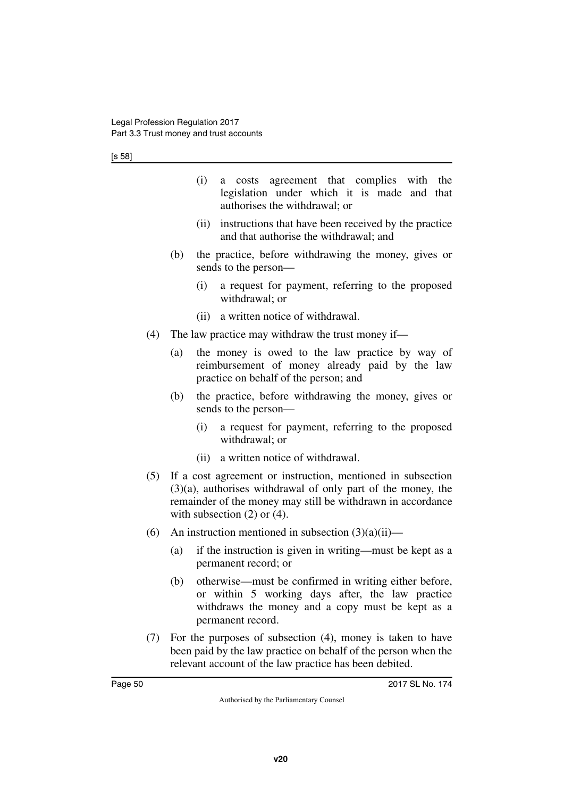|     |                                                                                                                                                                                                                                   | (i)<br>agreement that complies with the<br>costs<br>a<br>legislation under which it is made and that<br>authorises the withdrawal; or                                                                                                 |  |  |
|-----|-----------------------------------------------------------------------------------------------------------------------------------------------------------------------------------------------------------------------------------|---------------------------------------------------------------------------------------------------------------------------------------------------------------------------------------------------------------------------------------|--|--|
|     |                                                                                                                                                                                                                                   | instructions that have been received by the practice<br>(ii)<br>and that authorise the withdrawal; and                                                                                                                                |  |  |
|     | (b)                                                                                                                                                                                                                               | the practice, before withdrawing the money, gives or<br>sends to the person-                                                                                                                                                          |  |  |
|     |                                                                                                                                                                                                                                   | a request for payment, referring to the proposed<br>(i)<br>withdrawal; or                                                                                                                                                             |  |  |
|     |                                                                                                                                                                                                                                   | a written notice of withdrawal.<br>(ii)                                                                                                                                                                                               |  |  |
| (4) | The law practice may withdraw the trust money if—                                                                                                                                                                                 |                                                                                                                                                                                                                                       |  |  |
|     | (a)                                                                                                                                                                                                                               | the money is owed to the law practice by way of<br>reimbursement of money already paid by the law<br>practice on behalf of the person; and                                                                                            |  |  |
|     | (b)                                                                                                                                                                                                                               | the practice, before withdrawing the money, gives or<br>sends to the person—                                                                                                                                                          |  |  |
|     |                                                                                                                                                                                                                                   | a request for payment, referring to the proposed<br>(i)<br>withdrawal; or                                                                                                                                                             |  |  |
|     |                                                                                                                                                                                                                                   | a written notice of withdrawal.<br>(ii)                                                                                                                                                                                               |  |  |
| (5) | If a cost agreement or instruction, mentioned in subsection<br>$(3)(a)$ , authorises withdrawal of only part of the money, the<br>remainder of the money may still be withdrawn in accordance<br>with subsection $(2)$ or $(4)$ . |                                                                                                                                                                                                                                       |  |  |
| (6) |                                                                                                                                                                                                                                   | An instruction mentioned in subsection $(3)(a)(ii)$ —                                                                                                                                                                                 |  |  |
|     | (a)                                                                                                                                                                                                                               | if the instruction is given in writing—must be kept as a<br>permanent record; or                                                                                                                                                      |  |  |
|     | (b)                                                                                                                                                                                                                               | otherwise—must be confirmed in writing either before,<br>$\mathcal{L}_{\text{max}}$ and $\mathcal{L}_{\text{max}}$ are defined as $\mathcal{L}_{\text{max}}$ and $\mathcal{L}_{\text{max}}$ are defined as $\mathcal{L}_{\text{max}}$ |  |  |

- or within 5 working days after, the law practice withdraws the money and a copy must be kept as a permanent record.
- (7) For the purposes of subsection (4), money is taken to have been paid by the law practice on behalf of the person when the relevant account of the law practice has been debited.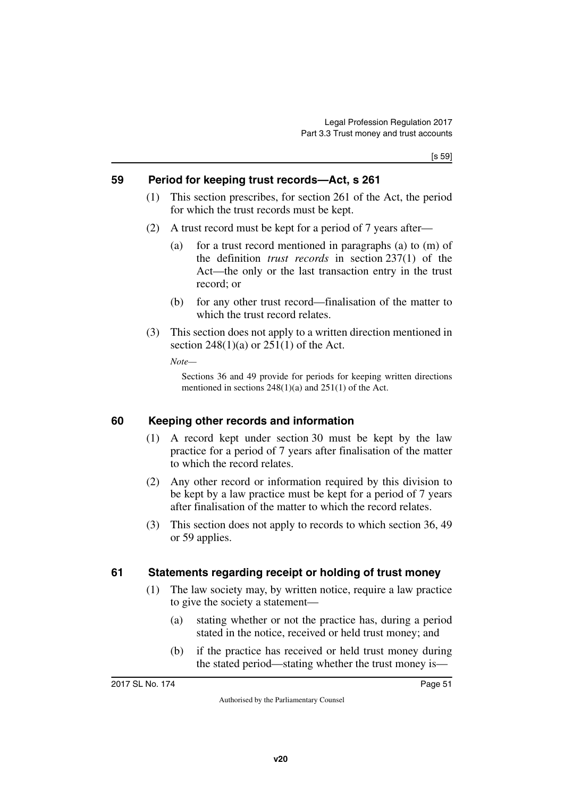### **59 Period for keeping trust records—Act, s 261**

- (1) This section prescribes, for section 261 of the Act, the period for which the trust records must be kept.
- (2) A trust record must be kept for a period of 7 years after—
	- (a) for a trust record mentioned in paragraphs (a) to (m) of the definition *trust records* in section 237(1) of the Act—the only or the last transaction entry in the trust record; or
	- (b) for any other trust record—finalisation of the matter to which the trust record relates.
- (3) This section does not apply to a written direction mentioned in section  $248(1)(a)$  or  $251(1)$  of the Act.

*Note—*

Sections 36 and 49 provide for periods for keeping written directions mentioned in sections 248(1)(a) and 251(1) of the Act.

### **60 Keeping other records and information**

- (1) A record kept under section 30 must be kept by the law practice for a period of 7 years after finalisation of the matter to which the record relates.
- (2) Any other record or information required by this division to be kept by a law practice must be kept for a period of 7 years after finalisation of the matter to which the record relates.
- (3) This section does not apply to records to which section 36, 49 or 59 applies.

#### **61 Statements regarding receipt or holding of trust money**

- (1) The law society may, by written notice, require a law practice to give the society a statement—
	- (a) stating whether or not the practice has, during a period stated in the notice, received or held trust money; and
	- (b) if the practice has received or held trust money during the stated period—stating whether the trust money is—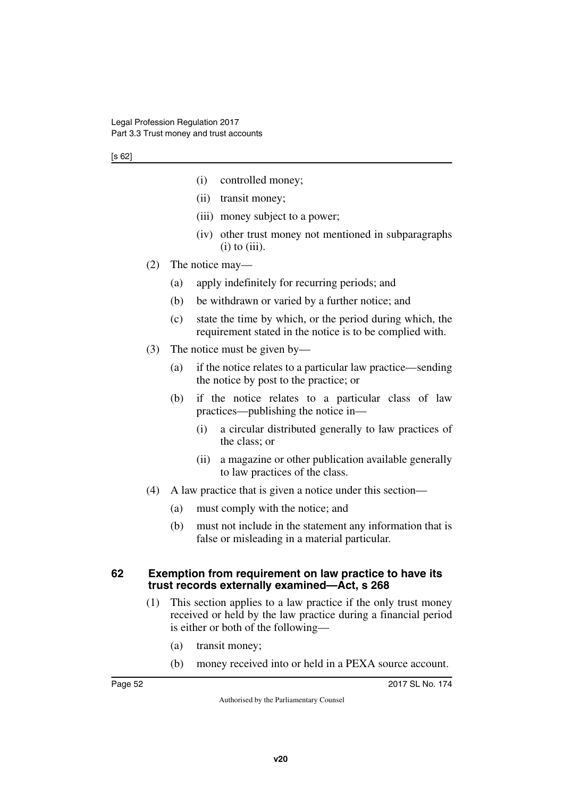- (i) controlled money;
- (ii) transit money;
- (iii) money subject to a power;
- (iv) other trust money not mentioned in subparagraphs  $(i)$  to  $(iii)$ .
- (2) The notice may—
	- (a) apply indefinitely for recurring periods; and
	- (b) be withdrawn or varied by a further notice; and
	- (c) state the time by which, or the period during which, the requirement stated in the notice is to be complied with.
- (3) The notice must be given by—
	- (a) if the notice relates to a particular law practice—sending the notice by post to the practice; or
	- (b) if the notice relates to a particular class of law practices—publishing the notice in—
		- (i) a circular distributed generally to law practices of the class; or
		- (ii) a magazine or other publication available generally to law practices of the class.
- (4) A law practice that is given a notice under this section—
	- (a) must comply with the notice; and
	- (b) must not include in the statement any information that is false or misleading in a material particular.

#### **62 Exemption from requirement on law practice to have its trust records externally examined—Act, s 268**

- (1) This section applies to a law practice if the only trust money received or held by the law practice during a financial period is either or both of the following—
	- (a) transit money;
	- (b) money received into or held in a PEXA source account.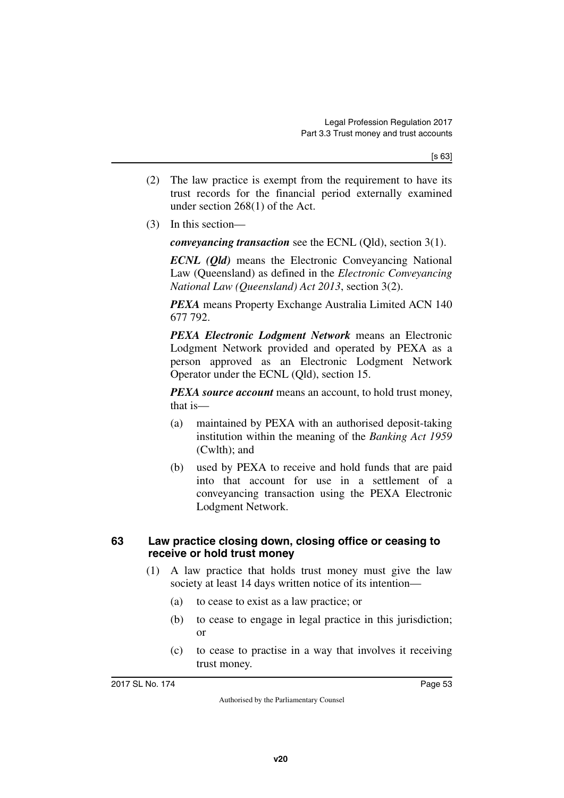- (2) The law practice is exempt from the requirement to have its trust records for the financial period externally examined under section 268(1) of the Act.
- (3) In this section—

*conveyancing transaction* see the ECNL (Qld), section 3(1).

*ECNL (Qld)* means the Electronic Conveyancing National Law (Queensland) as defined in the *Electronic Conveyancing National Law (Queensland) Act 2013*, section 3(2).

*PEXA* means Property Exchange Australia Limited ACN 140 677 792.

*PEXA Electronic Lodgment Network* means an Electronic Lodgment Network provided and operated by PEXA as a person approved as an Electronic Lodgment Network Operator under the ECNL (Qld), section 15.

*PEXA source account* means an account, to hold trust money, that is—

- (a) maintained by PEXA with an authorised deposit-taking institution within the meaning of the *Banking Act 1959* (Cwlth); and
- (b) used by PEXA to receive and hold funds that are paid into that account for use in a settlement of a conveyancing transaction using the PEXA Electronic Lodgment Network.

#### **63 Law practice closing down, closing office or ceasing to receive or hold trust money**

- (1) A law practice that holds trust money must give the law society at least 14 days written notice of its intention—
	- (a) to cease to exist as a law practice; or
	- (b) to cease to engage in legal practice in this jurisdiction; or
	- (c) to cease to practise in a way that involves it receiving trust money.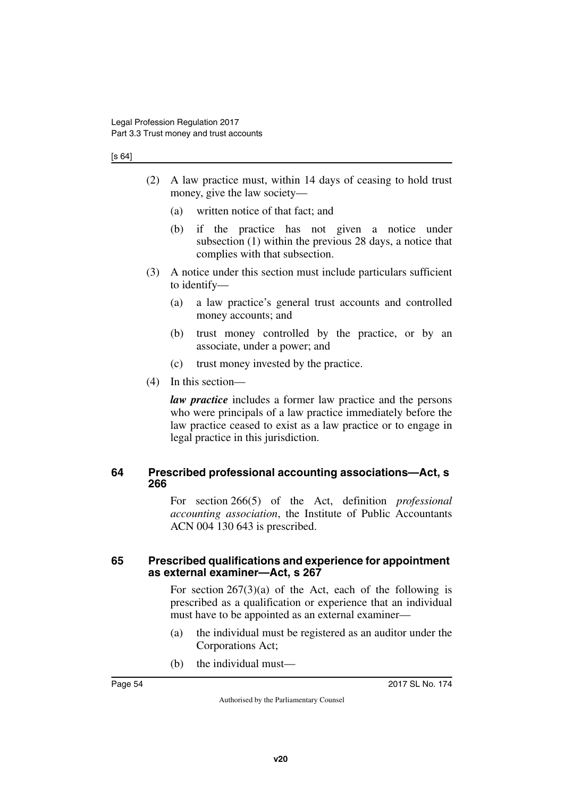#### [s 64]

- (2) A law practice must, within 14 days of ceasing to hold trust money, give the law society—
	- (a) written notice of that fact; and
	- (b) if the practice has not given a notice under subsection (1) within the previous 28 days, a notice that complies with that subsection.
- (3) A notice under this section must include particulars sufficient to identify—
	- (a) a law practice's general trust accounts and controlled money accounts; and
	- (b) trust money controlled by the practice, or by an associate, under a power; and
	- (c) trust money invested by the practice.
- (4) In this section—

*law practice* includes a former law practice and the persons who were principals of a law practice immediately before the law practice ceased to exist as a law practice or to engage in legal practice in this jurisdiction.

#### **64 Prescribed professional accounting associations—Act, s 266**

For section 266(5) of the Act, definition *professional accounting association*, the Institute of Public Accountants ACN 004 130 643 is prescribed.

#### **65 Prescribed qualifications and experience for appointment as external examiner—Act, s 267**

For section  $267(3)(a)$  of the Act, each of the following is prescribed as a qualification or experience that an individual must have to be appointed as an external examiner—

- (a) the individual must be registered as an auditor under the Corporations Act;
- (b) the individual must—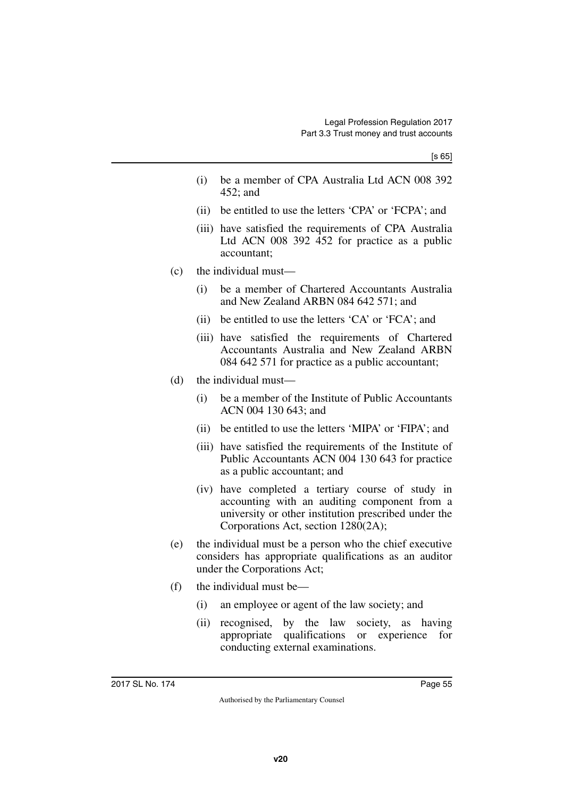- (i) be a member of CPA Australia Ltd ACN 008 392 452; and
- (ii) be entitled to use the letters 'CPA' or 'FCPA'; and
- (iii) have satisfied the requirements of CPA Australia Ltd ACN 008 392 452 for practice as a public accountant;
- (c) the individual must—
	- (i) be a member of Chartered Accountants Australia and New Zealand ARBN 084 642 571; and
	- (ii) be entitled to use the letters 'CA' or 'FCA'; and
	- (iii) have satisfied the requirements of Chartered Accountants Australia and New Zealand ARBN 084 642 571 for practice as a public accountant;
- (d) the individual must—
	- (i) be a member of the Institute of Public Accountants ACN 004 130 643; and
	- (ii) be entitled to use the letters 'MIPA' or 'FIPA'; and
	- (iii) have satisfied the requirements of the Institute of Public Accountants ACN 004 130 643 for practice as a public accountant; and
	- (iv) have completed a tertiary course of study in accounting with an auditing component from a university or other institution prescribed under the Corporations Act, section 1280(2A);
- (e) the individual must be a person who the chief executive considers has appropriate qualifications as an auditor under the Corporations Act;
- (f) the individual must be—
	- (i) an employee or agent of the law society; and
	- (ii) recognised, by the law society, as having appropriate qualifications or experience for conducting external examinations.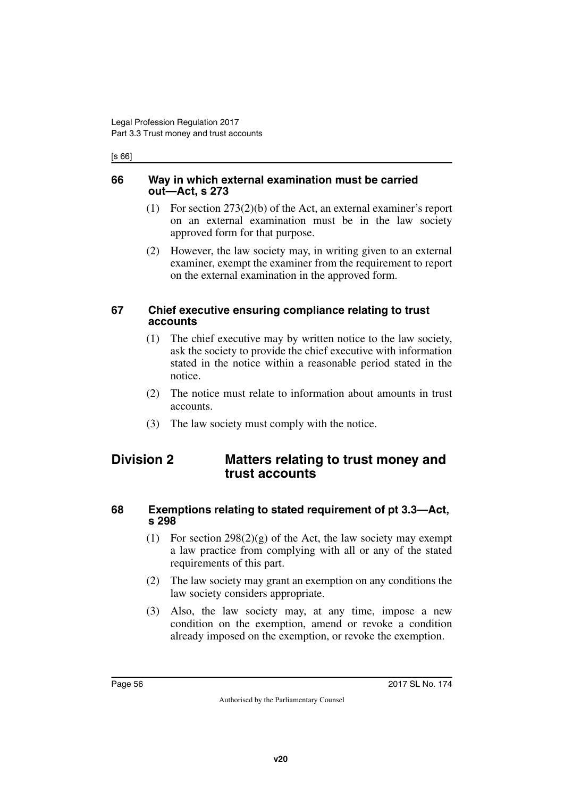#### [s 66]

#### **66 Way in which external examination must be carried out—Act, s 273**

- (1) For section 273(2)(b) of the Act, an external examiner's report on an external examination must be in the law society approved form for that purpose.
- (2) However, the law society may, in writing given to an external examiner, exempt the examiner from the requirement to report on the external examination in the approved form.

#### **67 Chief executive ensuring compliance relating to trust accounts**

- (1) The chief executive may by written notice to the law society, ask the society to provide the chief executive with information stated in the notice within a reasonable period stated in the notice.
- (2) The notice must relate to information about amounts in trust accounts.
- (3) The law society must comply with the notice.

## **Division 2 Matters relating to trust money and trust accounts**

#### **68 Exemptions relating to stated requirement of pt 3.3—Act, s 298**

- (1) For section  $298(2)(g)$  of the Act, the law society may exempt a law practice from complying with all or any of the stated requirements of this part.
- (2) The law society may grant an exemption on any conditions the law society considers appropriate.
- (3) Also, the law society may, at any time, impose a new condition on the exemption, amend or revoke a condition already imposed on the exemption, or revoke the exemption.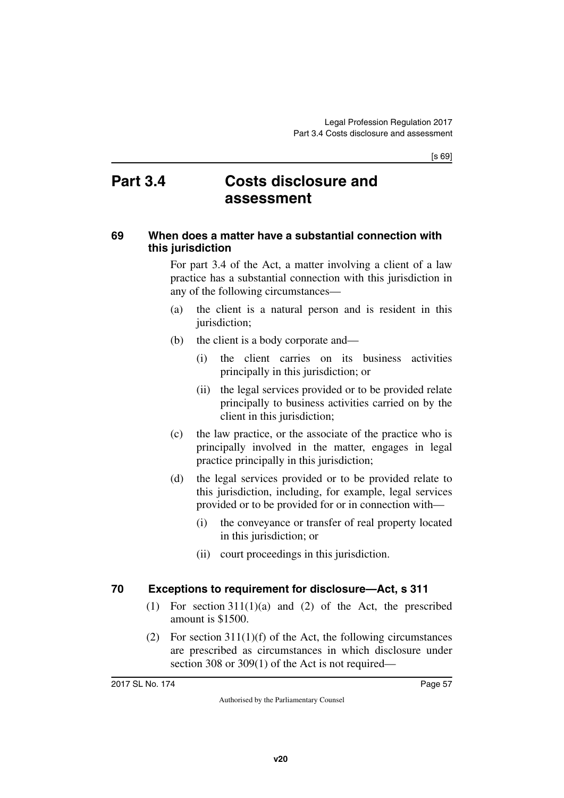[s 69]

## **Part 3.4 Costs disclosure and assessment**

#### **69 When does a matter have a substantial connection with this jurisdiction**

For part 3.4 of the Act, a matter involving a client of a law practice has a substantial connection with this jurisdiction in any of the following circumstances—

- (a) the client is a natural person and is resident in this jurisdiction;
- (b) the client is a body corporate and—
	- (i) the client carries on its business activities principally in this jurisdiction; or
	- (ii) the legal services provided or to be provided relate principally to business activities carried on by the client in this jurisdiction;
- (c) the law practice, or the associate of the practice who is principally involved in the matter, engages in legal practice principally in this jurisdiction;
- (d) the legal services provided or to be provided relate to this jurisdiction, including, for example, legal services provided or to be provided for or in connection with—
	- (i) the conveyance or transfer of real property located in this jurisdiction; or
	- (ii) court proceedings in this jurisdiction.

### **70 Exceptions to requirement for disclosure—Act, s 311**

- (1) For section 311(1)(a) and (2) of the Act, the prescribed amount is \$1500.
- (2) For section  $311(1)(f)$  of the Act, the following circumstances are prescribed as circumstances in which disclosure under section 308 or 309(1) of the Act is not required—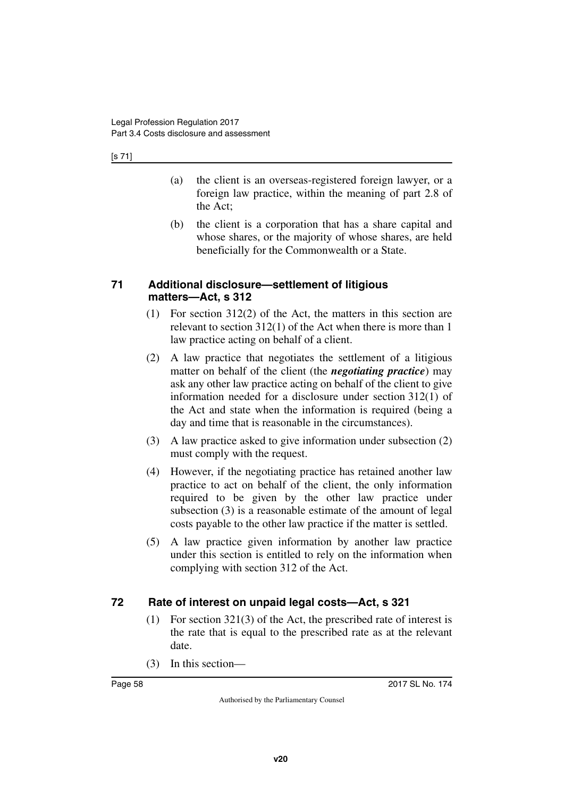#### [s 71]

- (a) the client is an overseas-registered foreign lawyer, or a foreign law practice, within the meaning of part 2.8 of the Act;
- (b) the client is a corporation that has a share capital and whose shares, or the majority of whose shares, are held beneficially for the Commonwealth or a State.

#### **71 Additional disclosure—settlement of litigious matters—Act, s 312**

- (1) For section 312(2) of the Act, the matters in this section are relevant to section 312(1) of the Act when there is more than 1 law practice acting on behalf of a client.
- (2) A law practice that negotiates the settlement of a litigious matter on behalf of the client (the *negotiating practice*) may ask any other law practice acting on behalf of the client to give information needed for a disclosure under section 312(1) of the Act and state when the information is required (being a day and time that is reasonable in the circumstances).
- (3) A law practice asked to give information under subsection (2) must comply with the request.
- (4) However, if the negotiating practice has retained another law practice to act on behalf of the client, the only information required to be given by the other law practice under subsection (3) is a reasonable estimate of the amount of legal costs payable to the other law practice if the matter is settled.
- (5) A law practice given information by another law practice under this section is entitled to rely on the information when complying with section 312 of the Act.

## **72 Rate of interest on unpaid legal costs—Act, s 321**

- (1) For section 321(3) of the Act, the prescribed rate of interest is the rate that is equal to the prescribed rate as at the relevant date.
- (3) In this section—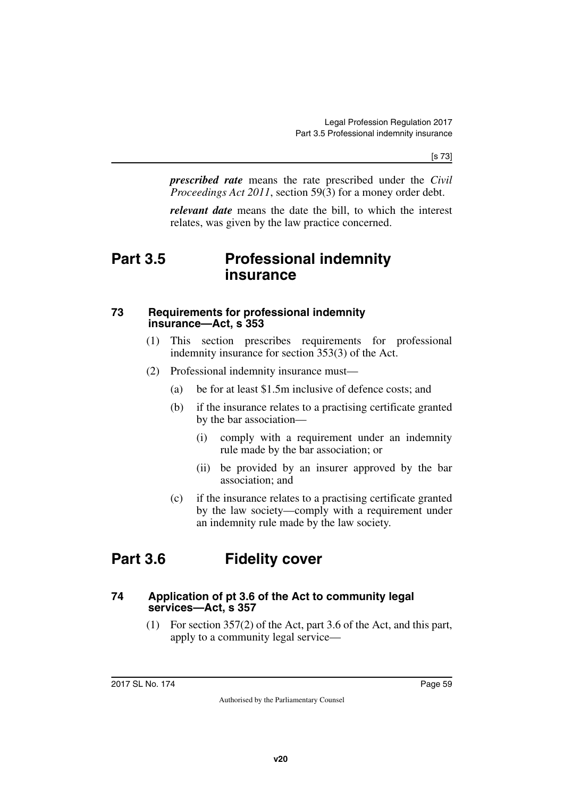*prescribed rate* means the rate prescribed under the *Civil Proceedings Act 2011*, section 59(3) for a money order debt.

*relevant date* means the date the bill, to which the interest relates, was given by the law practice concerned.

## **Part 3.5 Professional indemnity insurance**

#### **73 Requirements for professional indemnity insurance—Act, s 353**

- (1) This section prescribes requirements for professional indemnity insurance for section 353(3) of the Act.
- (2) Professional indemnity insurance must—
	- (a) be for at least \$1.5m inclusive of defence costs; and
	- (b) if the insurance relates to a practising certificate granted by the bar association—
		- (i) comply with a requirement under an indemnity rule made by the bar association; or
		- (ii) be provided by an insurer approved by the bar association; and
	- (c) if the insurance relates to a practising certificate granted by the law society—comply with a requirement under an indemnity rule made by the law society.

# **Part 3.6 Fidelity cover**

#### **74 Application of pt 3.6 of the Act to community legal services—Act, s 357**

(1) For section 357(2) of the Act, part 3.6 of the Act, and this part, apply to a community legal service—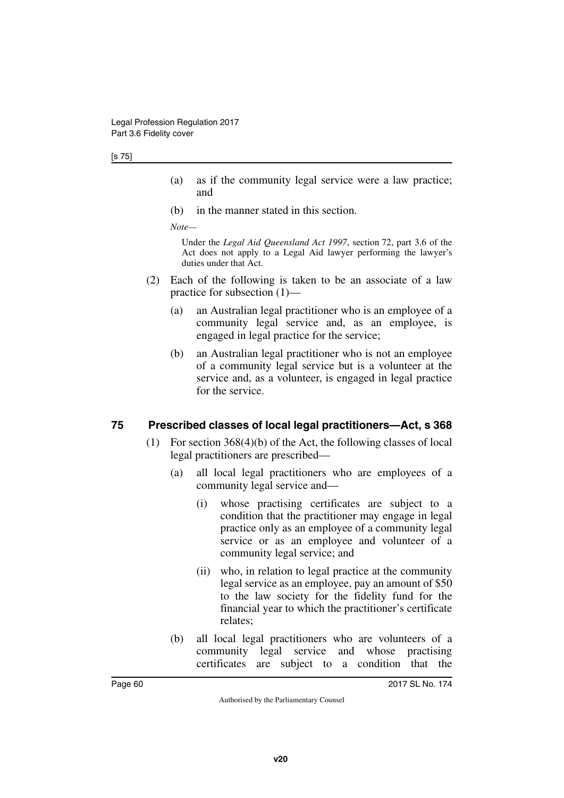- (a) as if the community legal service were a law practice; and
- (b) in the manner stated in this section.

*Note—*

Under the *Legal Aid Queensland Act 1997*, section 72, part 3.6 of the Act does not apply to a Legal Aid lawyer performing the lawyer's duties under that Act.

- (2) Each of the following is taken to be an associate of a law practice for subsection (1)—
	- (a) an Australian legal practitioner who is an employee of a community legal service and, as an employee, is engaged in legal practice for the service;
	- (b) an Australian legal practitioner who is not an employee of a community legal service but is a volunteer at the service and, as a volunteer, is engaged in legal practice for the service.

### **75 Prescribed classes of local legal practitioners—Act, s 368**

- (1) For section 368(4)(b) of the Act, the following classes of local legal practitioners are prescribed—
	- (a) all local legal practitioners who are employees of a community legal service and—
		- (i) whose practising certificates are subject to a condition that the practitioner may engage in legal practice only as an employee of a community legal service or as an employee and volunteer of a community legal service; and
		- (ii) who, in relation to legal practice at the community legal service as an employee, pay an amount of \$50 to the law society for the fidelity fund for the financial year to which the practitioner's certificate relates;
	- (b) all local legal practitioners who are volunteers of a community legal service and whose practising certificates are subject to a condition that the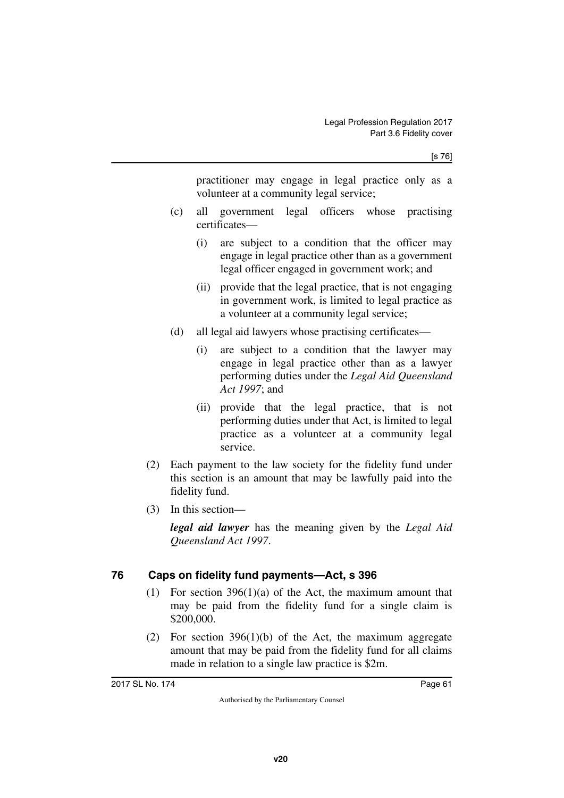practitioner may engage in legal practice only as a volunteer at a community legal service;

- (c) all government legal officers whose practising certificates—
	- (i) are subject to a condition that the officer may engage in legal practice other than as a government legal officer engaged in government work; and
	- (ii) provide that the legal practice, that is not engaging in government work, is limited to legal practice as a volunteer at a community legal service;
- (d) all legal aid lawyers whose practising certificates—
	- (i) are subject to a condition that the lawyer may engage in legal practice other than as a lawyer performing duties under the *Legal Aid Queensland Act 1997*; and
	- (ii) provide that the legal practice, that is not performing duties under that Act, is limited to legal practice as a volunteer at a community legal service.
- (2) Each payment to the law society for the fidelity fund under this section is an amount that may be lawfully paid into the fidelity fund.
- (3) In this section—

*legal aid lawyer* has the meaning given by the *Legal Aid Queensland Act 1997*.

## **76 Caps on fidelity fund payments—Act, s 396**

- (1) For section 396(1)(a) of the Act, the maximum amount that may be paid from the fidelity fund for a single claim is \$200,000.
- (2) For section  $396(1)(b)$  of the Act, the maximum aggregate amount that may be paid from the fidelity fund for all claims made in relation to a single law practice is \$2m.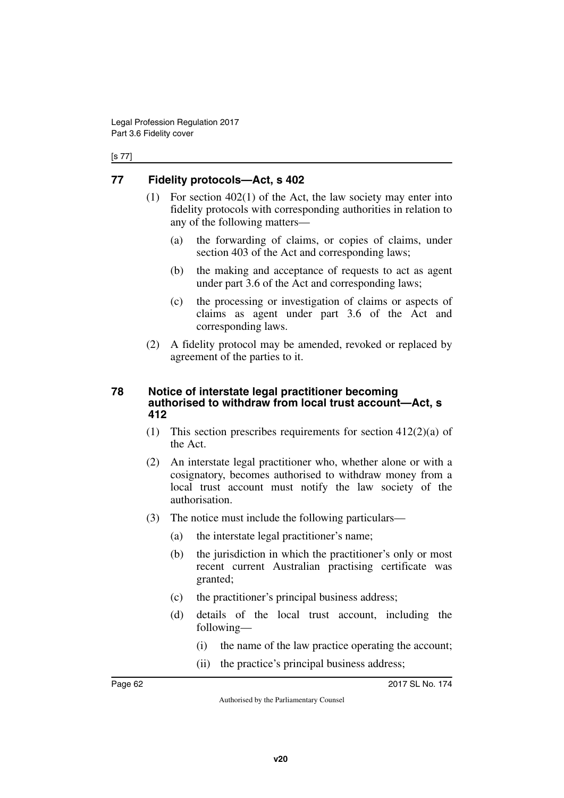#### [s 77]

## **77 Fidelity protocols—Act, s 402**

- (1) For section 402(1) of the Act, the law society may enter into fidelity protocols with corresponding authorities in relation to any of the following matters—
	- (a) the forwarding of claims, or copies of claims, under section 403 of the Act and corresponding laws;
	- (b) the making and acceptance of requests to act as agent under part 3.6 of the Act and corresponding laws;
	- (c) the processing or investigation of claims or aspects of claims as agent under part 3.6 of the Act and corresponding laws.
- (2) A fidelity protocol may be amended, revoked or replaced by agreement of the parties to it.

#### **78 Notice of interstate legal practitioner becoming authorised to withdraw from local trust account—Act, s 412**

- (1) This section prescribes requirements for section  $412(2)(a)$  of the Act.
- (2) An interstate legal practitioner who, whether alone or with a cosignatory, becomes authorised to withdraw money from a local trust account must notify the law society of the authorisation.
- (3) The notice must include the following particulars—
	- (a) the interstate legal practitioner's name;
	- (b) the jurisdiction in which the practitioner's only or most recent current Australian practising certificate was granted;
	- (c) the practitioner's principal business address;
	- (d) details of the local trust account, including the following—
		- (i) the name of the law practice operating the account;
		- (ii) the practice's principal business address;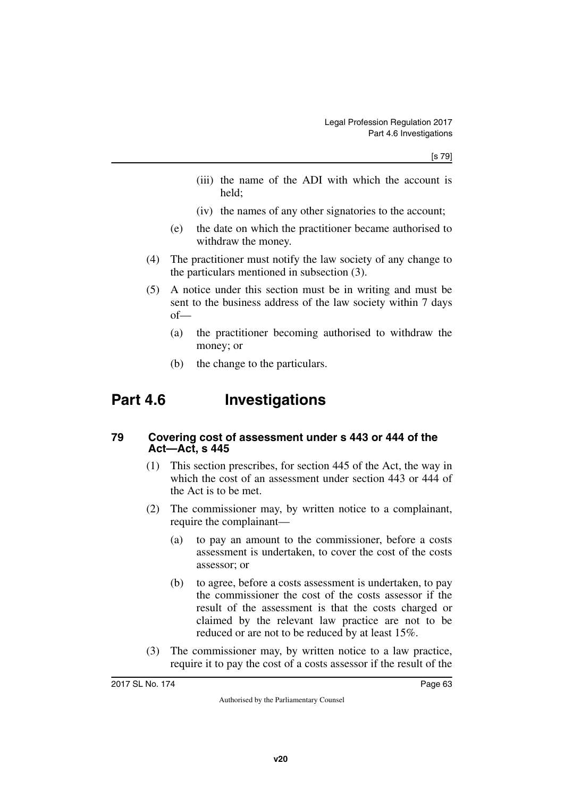- (iii) the name of the ADI with which the account is held;
- (iv) the names of any other signatories to the account;
- (e) the date on which the practitioner became authorised to withdraw the money.
- (4) The practitioner must notify the law society of any change to the particulars mentioned in subsection (3).
- (5) A notice under this section must be in writing and must be sent to the business address of the law society within 7 days of—
	- (a) the practitioner becoming authorised to withdraw the money; or
	- (b) the change to the particulars.

# **Part 4.6 Investigations**

#### **79 Covering cost of assessment under s 443 or 444 of the Act—Act, s 445**

- (1) This section prescribes, for section 445 of the Act, the way in which the cost of an assessment under section 443 or 444 of the Act is to be met.
- (2) The commissioner may, by written notice to a complainant, require the complainant—
	- (a) to pay an amount to the commissioner, before a costs assessment is undertaken, to cover the cost of the costs assessor; or
	- (b) to agree, before a costs assessment is undertaken, to pay the commissioner the cost of the costs assessor if the result of the assessment is that the costs charged or claimed by the relevant law practice are not to be reduced or are not to be reduced by at least 15%.
- (3) The commissioner may, by written notice to a law practice, require it to pay the cost of a costs assessor if the result of the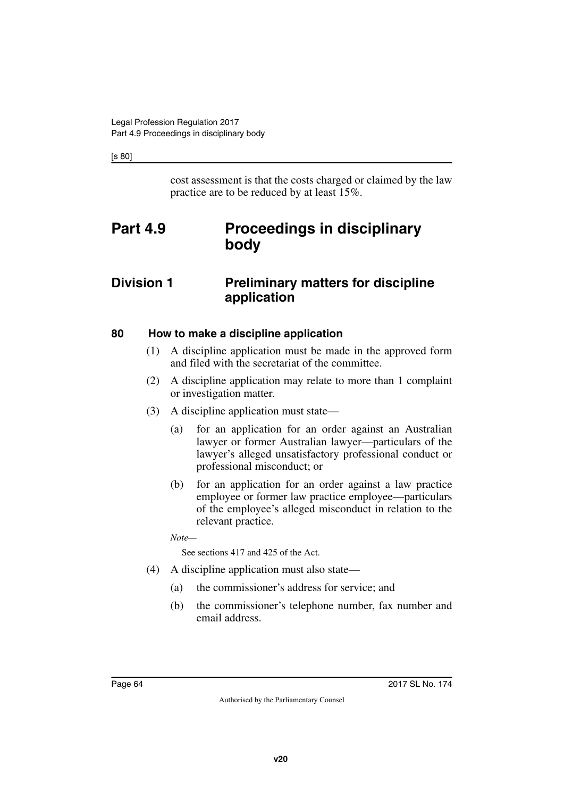[s 80]

cost assessment is that the costs charged or claimed by the law practice are to be reduced by at least 15%.

# **Part 4.9 Proceedings in disciplinary body**

## **Division 1 Preliminary matters for discipline application**

### **80 How to make a discipline application**

- (1) A discipline application must be made in the approved form and filed with the secretariat of the committee.
- (2) A discipline application may relate to more than 1 complaint or investigation matter.
- (3) A discipline application must state—
	- (a) for an application for an order against an Australian lawyer or former Australian lawyer—particulars of the lawyer's alleged unsatisfactory professional conduct or professional misconduct; or
	- (b) for an application for an order against a law practice employee or former law practice employee—particulars of the employee's alleged misconduct in relation to the relevant practice.

*Note—*

See sections 417 and 425 of the Act.

- (4) A discipline application must also state—
	- (a) the commissioner's address for service; and
	- (b) the commissioner's telephone number, fax number and email address.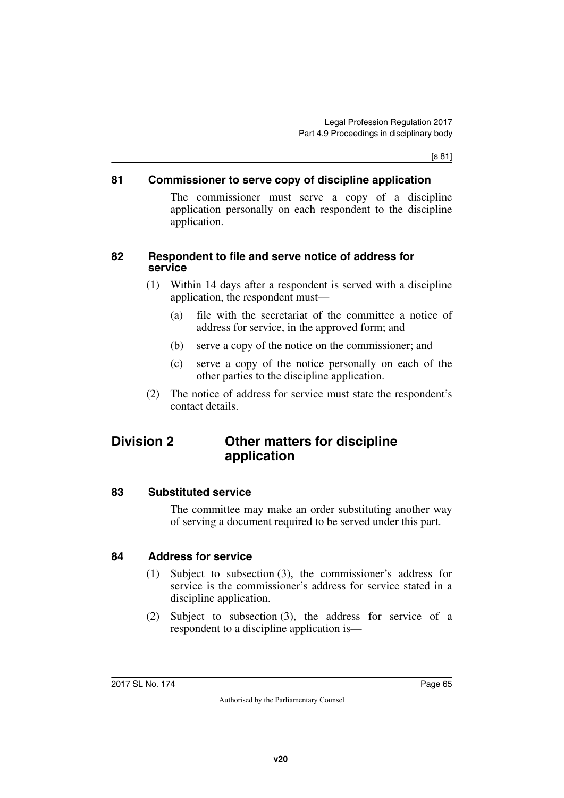[s 81]

#### **81 Commissioner to serve copy of discipline application**

The commissioner must serve a copy of a discipline application personally on each respondent to the discipline application.

#### **82 Respondent to file and serve notice of address for service**

- (1) Within 14 days after a respondent is served with a discipline application, the respondent must—
	- (a) file with the secretariat of the committee a notice of address for service, in the approved form; and
	- (b) serve a copy of the notice on the commissioner; and
	- (c) serve a copy of the notice personally on each of the other parties to the discipline application.
- (2) The notice of address for service must state the respondent's contact details.

## **Division 2 Other matters for discipline application**

#### **83 Substituted service**

The committee may make an order substituting another way of serving a document required to be served under this part.

### **84 Address for service**

- (1) Subject to subsection (3), the commissioner's address for service is the commissioner's address for service stated in a discipline application.
- (2) Subject to subsection (3), the address for service of a respondent to a discipline application is—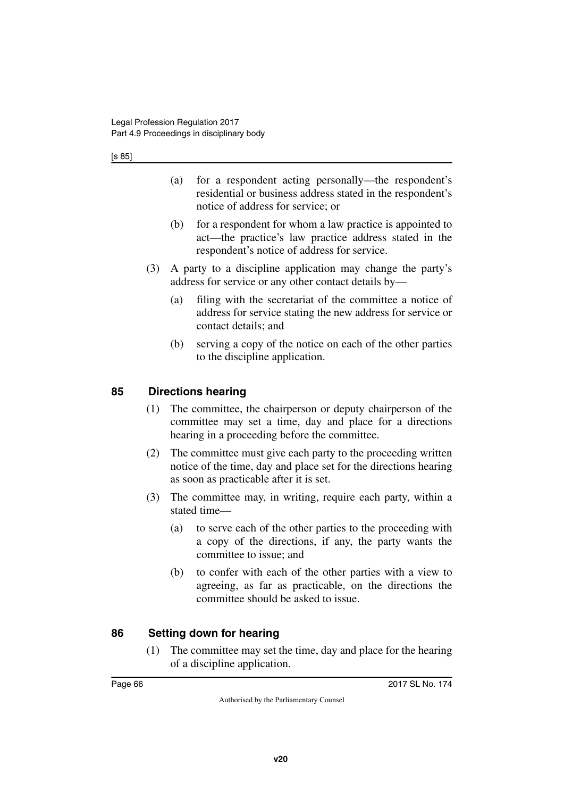- (a) for a respondent acting personally—the respondent's residential or business address stated in the respondent's notice of address for service; or
- (b) for a respondent for whom a law practice is appointed to act—the practice's law practice address stated in the respondent's notice of address for service.
- (3) A party to a discipline application may change the party's address for service or any other contact details by—
	- (a) filing with the secretariat of the committee a notice of address for service stating the new address for service or contact details; and
	- (b) serving a copy of the notice on each of the other parties to the discipline application.

### **85 Directions hearing**

- (1) The committee, the chairperson or deputy chairperson of the committee may set a time, day and place for a directions hearing in a proceeding before the committee.
- (2) The committee must give each party to the proceeding written notice of the time, day and place set for the directions hearing as soon as practicable after it is set.
- (3) The committee may, in writing, require each party, within a stated time—
	- (a) to serve each of the other parties to the proceeding with a copy of the directions, if any, the party wants the committee to issue; and
	- (b) to confer with each of the other parties with a view to agreeing, as far as practicable, on the directions the committee should be asked to issue.

## **86 Setting down for hearing**

(1) The committee may set the time, day and place for the hearing of a discipline application.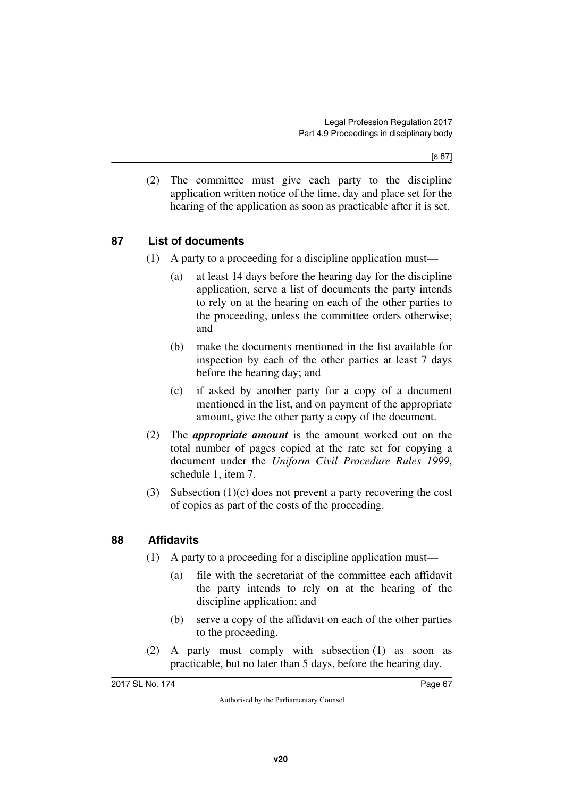[s 87]

(2) The committee must give each party to the discipline application written notice of the time, day and place set for the hearing of the application as soon as practicable after it is set.

## **87 List of documents**

- (1) A party to a proceeding for a discipline application must—
	- (a) at least 14 days before the hearing day for the discipline application, serve a list of documents the party intends to rely on at the hearing on each of the other parties to the proceeding, unless the committee orders otherwise; and
	- (b) make the documents mentioned in the list available for inspection by each of the other parties at least 7 days before the hearing day; and
	- (c) if asked by another party for a copy of a document mentioned in the list, and on payment of the appropriate amount, give the other party a copy of the document.
- (2) The *appropriate amount* is the amount worked out on the total number of pages copied at the rate set for copying a document under the *Uniform Civil Procedure Rules 1999*, schedule 1, item 7.
- (3) Subsection (1)(c) does not prevent a party recovering the cost of copies as part of the costs of the proceeding.

### **88 Affidavits**

- (1) A party to a proceeding for a discipline application must—
	- (a) file with the secretariat of the committee each affidavit the party intends to rely on at the hearing of the discipline application; and
	- (b) serve a copy of the affidavit on each of the other parties to the proceeding.
- (2) A party must comply with subsection (1) as soon as practicable, but no later than 5 days, before the hearing day.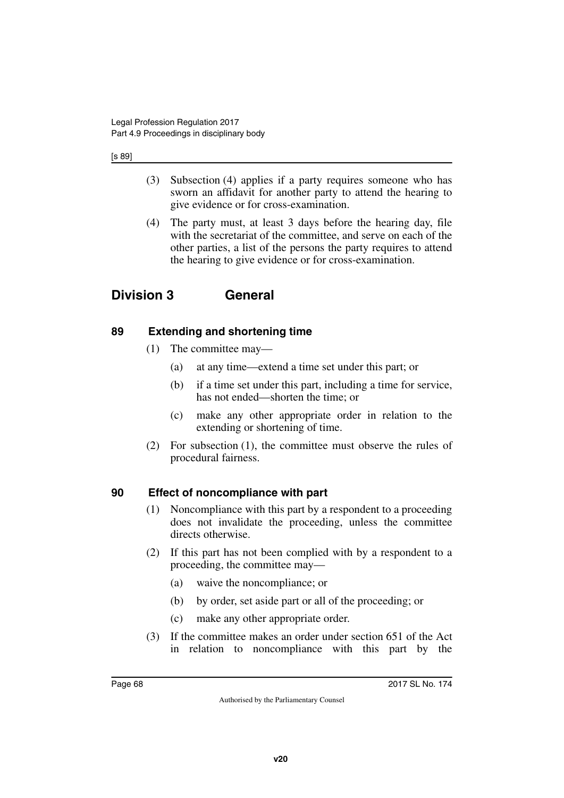#### [s 89]

- (3) Subsection (4) applies if a party requires someone who has sworn an affidavit for another party to attend the hearing to give evidence or for cross-examination.
- (4) The party must, at least 3 days before the hearing day, file with the secretariat of the committee, and serve on each of the other parties, a list of the persons the party requires to attend the hearing to give evidence or for cross-examination.

## **Division 3 General**

### **89 Extending and shortening time**

- (1) The committee may—
	- (a) at any time—extend a time set under this part; or
	- (b) if a time set under this part, including a time for service, has not ended—shorten the time; or
	- (c) make any other appropriate order in relation to the extending or shortening of time.
- (2) For subsection (1), the committee must observe the rules of procedural fairness.

### **90 Effect of noncompliance with part**

- (1) Noncompliance with this part by a respondent to a proceeding does not invalidate the proceeding, unless the committee directs otherwise.
- (2) If this part has not been complied with by a respondent to a proceeding, the committee may—
	- (a) waive the noncompliance; or
	- (b) by order, set aside part or all of the proceeding; or
	- (c) make any other appropriate order.
- (3) If the committee makes an order under section 651 of the Act in relation to noncompliance with this part by the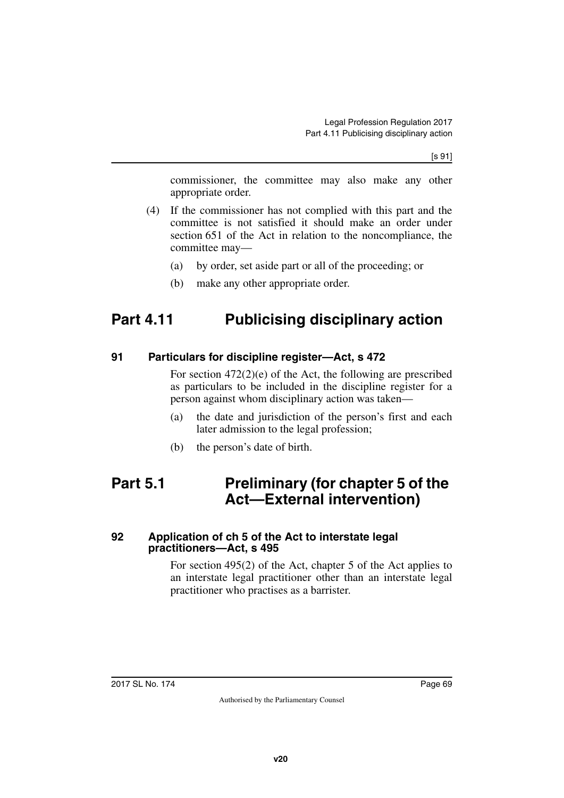[s 91]

commissioner, the committee may also make any other appropriate order.

- (4) If the commissioner has not complied with this part and the committee is not satisfied it should make an order under section 651 of the Act in relation to the noncompliance, the committee may—
	- (a) by order, set aside part or all of the proceeding; or
	- (b) make any other appropriate order.

# **Part 4.11 Publicising disciplinary action**

#### **91 Particulars for discipline register—Act, s 472**

For section 472(2)(e) of the Act, the following are prescribed as particulars to be included in the discipline register for a person against whom disciplinary action was taken—

- (a) the date and jurisdiction of the person's first and each later admission to the legal profession;
- (b) the person's date of birth.

## **Part 5.1 Preliminary (for chapter 5 of the Act—External intervention)**

#### **92 Application of ch 5 of the Act to interstate legal practitioners—Act, s 495**

For section 495(2) of the Act, chapter 5 of the Act applies to an interstate legal practitioner other than an interstate legal practitioner who practises as a barrister.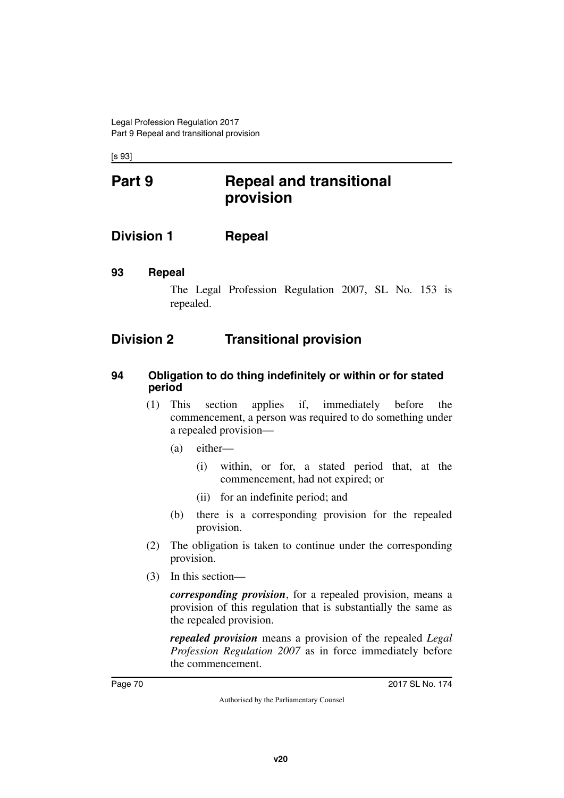[s 93]

# **Part 9 Repeal and transitional provision**

**Division 1 Repeal**

#### **93 Repeal**

The Legal Profession Regulation 2007, SL No. 153 is repealed.

## **Division 2 Transitional provision**

#### **94 Obligation to do thing indefinitely or within or for stated period**

- (1) This section applies if, immediately before the commencement, a person was required to do something under a repealed provision—
	- (a) either—
		- (i) within, or for, a stated period that, at the commencement, had not expired; or
		- (ii) for an indefinite period; and
	- (b) there is a corresponding provision for the repealed provision.
- (2) The obligation is taken to continue under the corresponding provision.
- (3) In this section—

*corresponding provision*, for a repealed provision, means a provision of this regulation that is substantially the same as the repealed provision.

*repealed provision* means a provision of the repealed *Legal Profession Regulation 2007* as in force immediately before the commencement.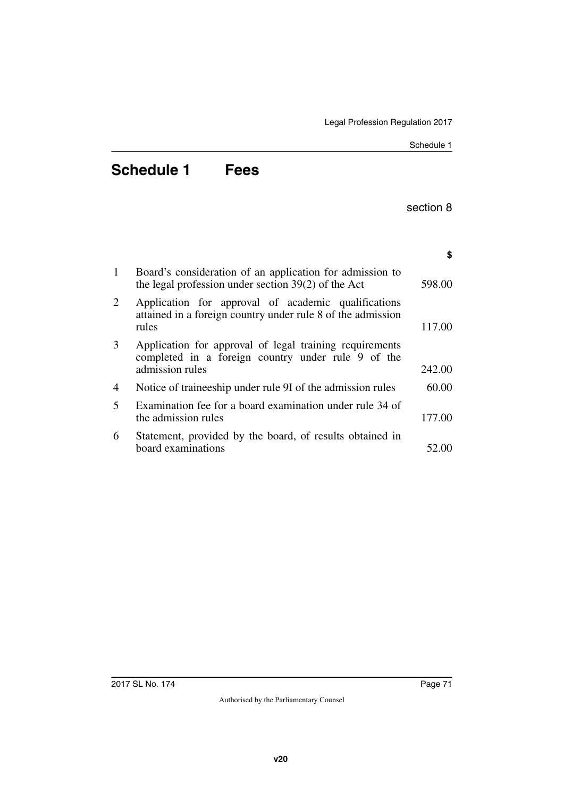Schedule 1

# **Schedule 1 Fees**

section 8

|              |                                                                                                                                  | \$     |
|--------------|----------------------------------------------------------------------------------------------------------------------------------|--------|
| $\mathbf{1}$ | Board's consideration of an application for admission to<br>the legal profession under section $39(2)$ of the Act                | 598.00 |
| 2            | Application for approval of academic qualifications<br>attained in a foreign country under rule 8 of the admission<br>rules      | 117.00 |
| 3            | Application for approval of legal training requirements<br>completed in a foreign country under rule 9 of the<br>admission rules | 242.00 |
| 4            | Notice of traineeship under rule 9I of the admission rules                                                                       | 60.00  |
| 5            | Examination fee for a board examination under rule 34 of<br>the admission rules                                                  | 177.00 |
| 6            | Statement, provided by the board, of results obtained in<br>board examinations                                                   | 52.00  |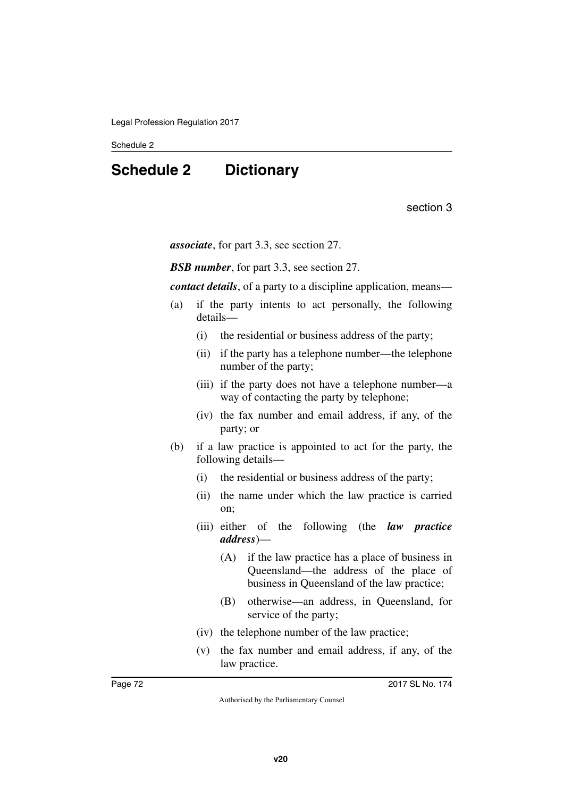# **Schedule 2 Dictionary**

section 3

*associate*, for part 3.3, see section 27.

*BSB number*, for part 3.3, see section 27.

*contact details*, of a party to a discipline application, means—

- (a) if the party intents to act personally, the following details—
	- (i) the residential or business address of the party;
	- (ii) if the party has a telephone number—the telephone number of the party;
	- (iii) if the party does not have a telephone number—a way of contacting the party by telephone;
	- (iv) the fax number and email address, if any, of the party; or
- (b) if a law practice is appointed to act for the party, the following details—
	- (i) the residential or business address of the party;
	- (ii) the name under which the law practice is carried on;
	- (iii) either of the following (the *law practice address*)—
		- (A) if the law practice has a place of business in Queensland—the address of the place of business in Queensland of the law practice;
		- (B) otherwise—an address, in Queensland, for service of the party;
	- (iv) the telephone number of the law practice;
	- (v) the fax number and email address, if any, of the law practice.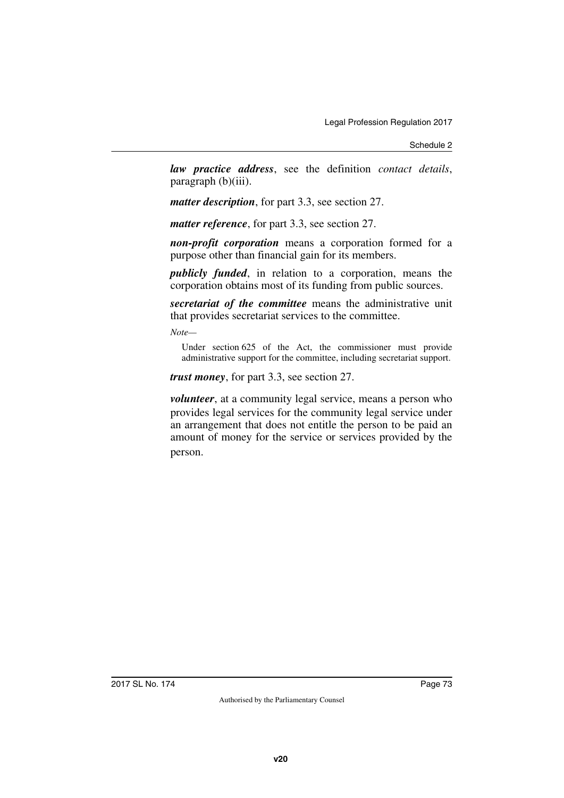Schedule 2

*law practice address*, see the definition *contact details*, paragraph (b)(iii).

*matter description*, for part 3.3, see section 27.

*matter reference*, for part 3.3, see section 27.

*non-profit corporation* means a corporation formed for a purpose other than financial gain for its members.

*publicly funded*, in relation to a corporation, means the corporation obtains most of its funding from public sources.

*secretariat of the committee* means the administrative unit that provides secretariat services to the committee.

*Note—*

Under section 625 of the Act, the commissioner must provide administrative support for the committee, including secretariat support.

*trust money*, for part 3.3, see section 27.

*volunteer*, at a community legal service, means a person who provides legal services for the community legal service under an arrangement that does not entitle the person to be paid an amount of money for the service or services provided by the person.